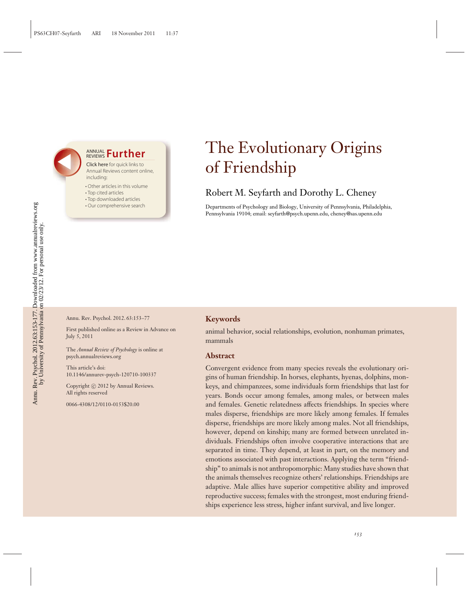# **ANNUAL Further**

Click here for quick links to Annual Reviews content online, including:

- Other articles in this volume
- Top cited articles
- Top downloaded articles
- Our comprehensive search

# The Evolutionary Origins of Friendship

# Robert M. Seyfarth and Dorothy L. Cheney

Departments of Psychology and Biology, University of Pennsylvania, Philadelphia, Pennsylvania 19104; email: seyfarth@psych.upenn.edu, cheney@sas.upenn.edu

Annu. Rev. Psychol. 2012. 63:153–77

First published online as a Review in Advance on July 5, 2011

The *Annual Review of Psychology* is online at psych.annualreviews.org

This article's doi: 10.1146/annurev-psych-120710-100337

Copyright © 2012 by Annual Reviews. All rights reserved

0066-4308/12/0110-0153\$20.00

#### **Keywords**

animal behavior, social relationships, evolution, nonhuman primates, mammals

#### **Abstract**

Convergent evidence from many species reveals the evolutionary origins of human friendship. In horses, elephants, hyenas, dolphins, monkeys, and chimpanzees, some individuals form friendships that last for years. Bonds occur among females, among males, or between males and females. Genetic relatedness affects friendships. In species where males disperse, friendships are more likely among females. If females disperse, friendships are more likely among males. Not all friendships, however, depend on kinship; many are formed between unrelated individuals. Friendships often involve cooperative interactions that are separated in time. They depend, at least in part, on the memory and emotions associated with past interactions. Applying the term "friendship" to animals is not anthropomorphic: Many studies have shown that the animals themselves recognize others' relationships. Friendships are adaptive. Male allies have superior competitive ability and improved reproductive success; females with the strongest, most enduring friendships experience less stress, higher infant survival, and live longer.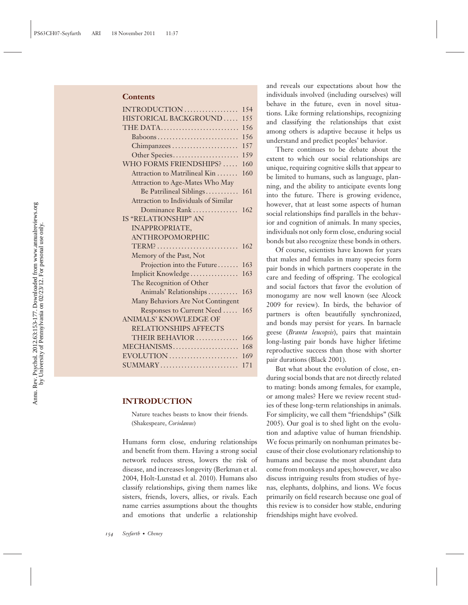| INTRODUCTION                         | 154 |
|--------------------------------------|-----|
| HISTORICAL BACKGROUND                | 155 |
| THE DATA                             | 156 |
| Baboons                              | 156 |
| Chimpanzees                          | 157 |
| Other Species                        | 159 |
| WHO FORMS FRIENDSHIPS?               | 160 |
| Attraction to Matrilineal Kin        | 160 |
| Attraction to Age-Mates Who May      |     |
| Be Patrilineal Siblings              | 161 |
| Attraction to Individuals of Similar |     |
| Dominance Rank                       | 162 |
| IS "RELATIONSHIP" AN                 |     |
| <b>INAPPROPRIATE,</b>                |     |
| <b>ANTHROPOMORPHIC</b>               |     |
|                                      | 162 |
| Memory of the Past, Not              |     |
| Projection into the Future           | 163 |
| Implicit Knowledge                   | 163 |
| The Recognition of Other             |     |
| Animals' Relationships               | 163 |
| Many Behaviors Are Not Contingent    |     |
| Responses to Current Need            | 165 |
| <b>ANIMALS' KNOWLEDGE OF</b>         |     |
| <b>RELATIONSHIPS AFFECTS</b>         |     |
| THEIR BEHAVIOR                       | 166 |
| MECHANISMS                           | 168 |
| EVOLUTION                            | 169 |
| SUMMARY                              | 171 |
|                                      |     |

### **INTRODUCTION**

Nature teaches beasts to know their friends. (Shakespeare, *Coriolanus*)

Humans form close, enduring relationships and benefit from them. Having a strong social network reduces stress, lowers the risk of disease, and increases longevity (Berkman et al. 2004, Holt-Lunstad et al. 2010). Humans also classify relationships, giving them names like sisters, friends, lovers, allies, or rivals. Each name carries assumptions about the thoughts and emotions that underlie a relationship and reveals our expectations about how the individuals involved (including ourselves) will behave in the future, even in novel situations. Like forming relationships, recognizing and classifying the relationships that exist among others is adaptive because it helps us understand and predict peoples' behavior.

There continues to be debate about the extent to which our social relationships are unique, requiring cognitive skills that appear to be limited to humans, such as language, planning, and the ability to anticipate events long into the future. There is growing evidence, however, that at least some aspects of human social relationships find parallels in the behavior and cognition of animals. In many species, individuals not only form close, enduring social bonds but also recognize these bonds in others.

Of course, scientists have known for years that males and females in many species form pair bonds in which partners cooperate in the care and feeding of offspring. The ecological and social factors that favor the evolution of monogamy are now well known (see Alcock 2009 for review). In birds, the behavior of partners is often beautifully synchronized, and bonds may persist for years. In barnacle geese (*Branta leucopsis*), pairs that maintain long-lasting pair bonds have higher lifetime reproductive success than those with shorter pair durations (Black 2001).

But what about the evolution of close, enduring social bonds that are not directly related to mating: bonds among females, for example, or among males? Here we review recent studies of these long-term relationships in animals. For simplicity, we call them "friendships" (Silk 2005). Our goal is to shed light on the evolution and adaptive value of human friendship. We focus primarily on nonhuman primates because of their close evolutionary relationship to humans and because the most abundant data come from monkeys and apes; however, we also discuss intriguing results from studies of hyenas, elephants, dolphins, and lions. We focus primarily on field research because one goal of this review is to consider how stable, enduring friendships might have evolved.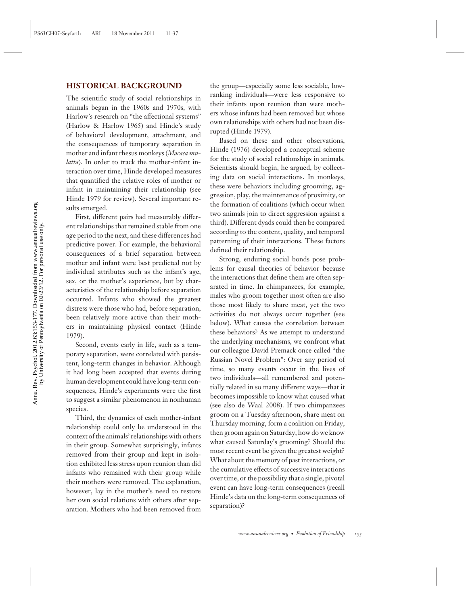#### **HISTORICAL BACKGROUND**

The scientific study of social relationships in animals began in the 1960s and 1970s, with Harlow's research on "the affectional systems" (Harlow & Harlow 1965) and Hinde's study of behavioral development, attachment, and the consequences of temporary separation in mother and infant rhesus monkeys (*Macaca mulatta*). In order to track the mother-infant interaction over time, Hinde developed measures that quantified the relative roles of mother or infant in maintaining their relationship (see Hinde 1979 for review). Several important results emerged.

First, different pairs had measurably different relationships that remained stable from one age period to the next, and these differences had predictive power. For example, the behavioral consequences of a brief separation between mother and infant were best predicted not by individual attributes such as the infant's age, sex, or the mother's experience, but by characteristics of the relationship before separation occurred. Infants who showed the greatest distress were those who had, before separation, been relatively more active than their mothers in maintaining physical contact (Hinde 1979).

Second, events early in life, such as a temporary separation, were correlated with persistent, long-term changes in behavior. Although it had long been accepted that events during human development could have long-term consequences, Hinde's experiments were the first to suggest a similar phenomenon in nonhuman species.

Third, the dynamics of each mother-infant relationship could only be understood in the context of the animals' relationships with others in their group. Somewhat surprisingly, infants removed from their group and kept in isolation exhibited less stress upon reunion than did infants who remained with their group while their mothers were removed. The explanation, however, lay in the mother's need to restore her own social relations with others after separation. Mothers who had been removed from

the group—especially some less sociable, lowranking individuals—were less responsive to their infants upon reunion than were mothers whose infants had been removed but whose own relationships with others had not been disrupted (Hinde 1979).

Based on these and other observations, Hinde (1976) developed a conceptual scheme for the study of social relationships in animals. Scientists should begin, he argued, by collecting data on social interactions. In monkeys, these were behaviors including grooming, aggression, play, the maintenance of proximity, or the formation of coalitions (which occur when two animals join to direct aggression against a third). Different dyads could then be compared according to the content, quality, and temporal patterning of their interactions. These factors defined their relationship.

Strong, enduring social bonds pose problems for causal theories of behavior because the interactions that define them are often separated in time. In chimpanzees, for example, males who groom together most often are also those most likely to share meat, yet the two activities do not always occur together (see below). What causes the correlation between these behaviors? As we attempt to understand the underlying mechanisms, we confront what our colleague David Premack once called "the Russian Novel Problem": Over any period of time, so many events occur in the lives of two individuals—all remembered and potentially related in so many different ways—that it becomes impossible to know what caused what (see also de Waal 2008). If two chimpanzees groom on a Tuesday afternoon, share meat on Thursday morning, form a coalition on Friday, then groom again on Saturday, how do we know what caused Saturday's grooming? Should the most recent event be given the greatest weight? What about the memory of past interactions, or the cumulative effects of successive interactions over time, or the possibility that a single, pivotal event can have long-term consequences (recall Hinde's data on the long-term consequences of separation)?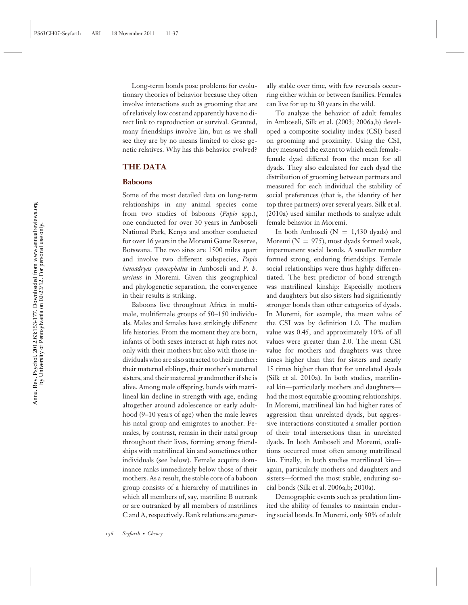Long-term bonds pose problems for evolutionary theories of behavior because they often involve interactions such as grooming that are of relatively low cost and apparently have no direct link to reproduction or survival. Granted, many friendships involve kin, but as we shall see they are by no means limited to close genetic relatives. Why has this behavior evolved?

#### **THE DATA**

#### **Baboons**

Some of the most detailed data on long-term relationships in any animal species come from two studies of baboons (*Papio* spp.), one conducted for over 30 years in Amboseli National Park, Kenya and another conducted for over 16 years in the Moremi Game Reserve, Botswana. The two sites are 1500 miles apart and involve two different subspecies, *Papio hamadryas cynocephalus* in Amboseli and *P. h. ursinus* in Moremi. Given this geographical and phylogenetic separation, the convergence in their results is striking.

Baboons live throughout Africa in multimale, multifemale groups of 50–150 individuals. Males and females have strikingly different life histories. From the moment they are born, infants of both sexes interact at high rates not only with their mothers but also with those individuals who are also attracted to their mother: their maternal siblings, their mother's maternal sisters, and their maternal grandmother if she is alive. Among male offspring, bonds with matrilineal kin decline in strength with age, ending altogether around adolescence or early adulthood (9–10 years of age) when the male leaves his natal group and emigrates to another. Females, by contrast, remain in their natal group throughout their lives, forming strong friendships with matrilineal kin and sometimes other individuals (see below). Female acquire dominance ranks immediately below those of their mothers. As a result, the stable core of a baboon group consists of a hierarchy of matrilines in which all members of, say, matriline B outrank or are outranked by all members of matrilines C and A, respectively. Rank relations are generally stable over time, with few reversals occurring either within or between families. Females can live for up to 30 years in the wild.

To analyze the behavior of adult females in Amboseli, Silk et al. (2003; 2006a,b) developed a composite sociality index (CSI) based on grooming and proximity. Using the CSI, they measured the extent to which each femalefemale dyad differed from the mean for all dyads. They also calculated for each dyad the distribution of grooming between partners and measured for each individual the stability of social preferences (that is, the identity of her top three partners) over several years. Silk et al. (2010a) used similar methods to analyze adult female behavior in Moremi.

In both Amboseli ( $N = 1,430$  dyads) and Moremi ( $N = 975$ ), most dyads formed weak, impermanent social bonds. A smaller number formed strong, enduring friendships. Female social relationships were thus highly differentiated. The best predictor of bond strength was matrilineal kinship: Especially mothers and daughters but also sisters had significantly stronger bonds than other categories of dyads. In Moremi, for example, the mean value of the CSI was by definition 1.0. The median value was 0.45, and approximately 10% of all values were greater than 2.0. The mean CSI value for mothers and daughters was three times higher than that for sisters and nearly 15 times higher than that for unrelated dyads (Silk et al. 2010a). In both studies, matrilineal kin—particularly mothers and daughters had the most equitable grooming relationships. In Moremi, matrilineal kin had higher rates of aggression than unrelated dyads, but aggressive interactions constituted a smaller portion of their total interactions than in unrelated dyads. In both Amboseli and Moremi, coalitions occurred most often among matrilineal kin. Finally, in both studies matrilineal kin again, particularly mothers and daughters and sisters—formed the most stable, enduring social bonds (Silk et al. 2006a,b; 2010a).

Demographic events such as predation limited the ability of females to maintain enduring social bonds. In Moremi, only 50% of adult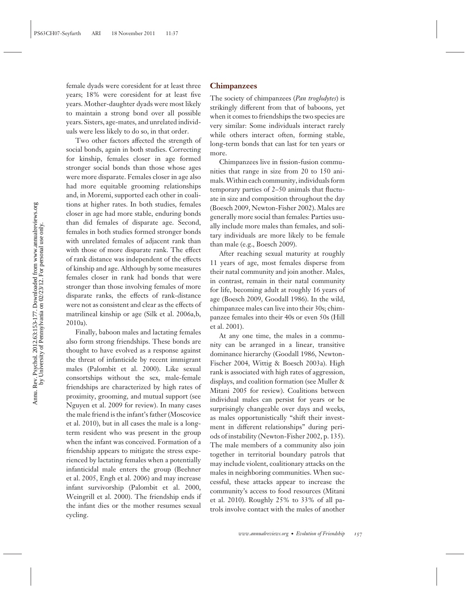female dyads were coresident for at least three years; 18% were coresident for at least five years. Mother-daughter dyads were most likely to maintain a strong bond over all possible years. Sisters, age-mates, and unrelated individuals were less likely to do so, in that order.

Two other factors affected the strength of social bonds, again in both studies. Correcting for kinship, females closer in age formed stronger social bonds than those whose ages were more disparate. Females closer in age also had more equitable grooming relationships and, in Moremi, supported each other in coalitions at higher rates. In both studies, females closer in age had more stable, enduring bonds than did females of disparate age. Second, females in both studies formed stronger bonds with unrelated females of adjacent rank than with those of more disparate rank. The effect of rank distance was independent of the effects of kinship and age. Although by some measures females closer in rank had bonds that were stronger than those involving females of more disparate ranks, the effects of rank-distance were not as consistent and clear as the effects of matrilineal kinship or age (Silk et al. 2006a,b, 2010a).

Finally, baboon males and lactating females also form strong friendships. These bonds are thought to have evolved as a response against the threat of infanticide by recent immigrant males (Palombit et al. 2000). Like sexual consortships without the sex, male-female friendships are characterized by high rates of proximity, grooming, and mutual support (see Nguyen et al. 2009 for review). In many cases the male friend is the infant's father (Moscovice et al. 2010), but in all cases the male is a longterm resident who was present in the group when the infant was conceived. Formation of a friendship appears to mitigate the stress experienced by lactating females when a potentially infanticidal male enters the group (Beehner et al. 2005, Engh et al. 2006) and may increase infant survivorship (Palombit et al. 2000, Weingrill et al. 2000). The friendship ends if the infant dies or the mother resumes sexual cycling.

#### **Chimpanzees**

The society of chimpanzees (*Pan troglodytes*) is strikingly different from that of baboons, yet when it comes to friendships the two species are very similar: Some individuals interact rarely while others interact often, forming stable, long-term bonds that can last for ten years or more.

Chimpanzees live in fission-fusion communities that range in size from 20 to 150 animals. Within each community, individuals form temporary parties of 2–50 animals that fluctuate in size and composition throughout the day (Boesch 2009, Newton-Fisher 2002). Males are generally more social than females: Parties usually include more males than females, and solitary individuals are more likely to be female than male (e.g., Boesch 2009).

After reaching sexual maturity at roughly 11 years of age, most females disperse from their natal community and join another. Males, in contrast, remain in their natal community for life, becoming adult at roughly 16 years of age (Boesch 2009, Goodall 1986). In the wild, chimpanzee males can live into their 30s; chimpanzee females into their 40s or even 50s (Hill et al. 2001).

At any one time, the males in a community can be arranged in a linear, transitive dominance hierarchy (Goodall 1986, Newton-Fischer 2004, Wittig & Boesch 2003a). High rank is associated with high rates of aggression, displays, and coalition formation (see Muller & Mitani 2005 for review). Coalitions between individual males can persist for years or be surprisingly changeable over days and weeks, as males opportunistically "shift their investment in different relationships" during periods of instability (Newton-Fisher 2002, p. 135). The male members of a community also join together in territorial boundary patrols that may include violent, coalitionary attacks on the males in neighboring communities. When successful, these attacks appear to increase the community's access to food resources (Mitani et al. 2010). Roughly 25% to 33% of all patrols involve contact with the males of another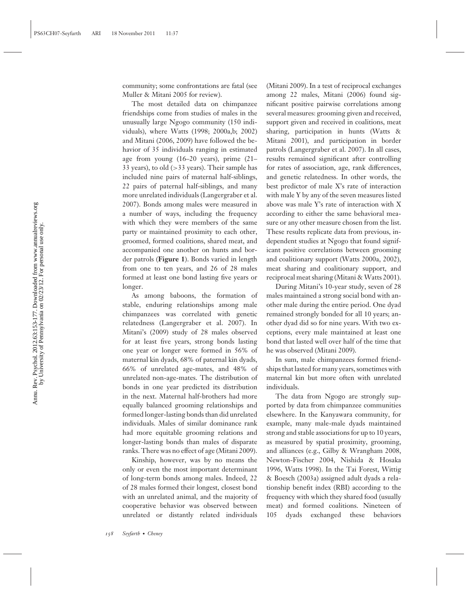community; some confrontations are fatal (see Muller & Mitani 2005 for review).

The most detailed data on chimpanzee friendships come from studies of males in the unusually large Ngogo community (150 individuals), where Watts (1998; 2000a,b; 2002) and Mitani (2006, 2009) have followed the behavior of 35 individuals ranging in estimated age from young (16–20 years), prime (21– 33 years), to old (>33 years). Their sample has included nine pairs of maternal half-siblings, 22 pairs of paternal half-siblings, and many more unrelated individuals (Langergraber et al. 2007). Bonds among males were measured in a number of ways, including the frequency with which they were members of the same party or maintained proximity to each other, groomed, formed coalitions, shared meat, and accompanied one another on hunts and border patrols (**Figure 1**). Bonds varied in length from one to ten years, and 26 of 28 males formed at least one bond lasting five years or longer.

As among baboons, the formation of stable, enduring relationships among male chimpanzees was correlated with genetic relatedness (Langergraber et al. 2007). In Mitani's (2009) study of 28 males observed for at least five years, strong bonds lasting one year or longer were formed in 56% of maternal kin dyads, 68% of paternal kin dyads, 66% of unrelated age-mates, and 48% of unrelated non-age-mates. The distribution of bonds in one year predicted its distribution in the next. Maternal half-brothers had more equally balanced grooming relationships and formed longer-lasting bonds than did unrelated individuals. Males of similar dominance rank had more equitable grooming relations and longer-lasting bonds than males of disparate ranks. There was no effect of age (Mitani 2009).

Kinship, however, was by no means the only or even the most important determinant of long-term bonds among males. Indeed, 22 of 28 males formed their longest, closest bond with an unrelated animal, and the majority of cooperative behavior was observed between unrelated or distantly related individuals (Mitani 2009). In a test of reciprocal exchanges among 22 males, Mitani (2006) found significant positive pairwise correlations among several measures: grooming given and received, support given and received in coalitions, meat sharing, participation in hunts (Watts & Mitani 2001), and participation in border patrols (Langergraber et al. 2007). In all cases, results remained significant after controlling for rates of association, age, rank differences, and genetic relatedness. In other words, the best predictor of male X's rate of interaction with male Y by any of the seven measures listed above was male Y's rate of interaction with X according to either the same behavioral measure or any other measure chosen from the list. These results replicate data from previous, independent studies at Ngogo that found significant positive correlations between grooming and coalitionary support (Watts 2000a, 2002), meat sharing and coalitionary support, and reciprocal meat sharing (Mitani & Watts 2001).

During Mitani's 10-year study, seven of 28 males maintained a strong social bond with another male during the entire period. One dyad remained strongly bonded for all 10 years; another dyad did so for nine years. With two exceptions, every male maintained at least one bond that lasted well over half of the time that he was observed (Mitani 2009).

In sum, male chimpanzees formed friendships that lasted for many years, sometimes with maternal kin but more often with unrelated individuals.

The data from Ngogo are strongly supported by data from chimpanzee communities elsewhere. In the Kanyawara community, for example, many male-male dyads maintained strong and stable associations for up to 10 years, as measured by spatial proximity, grooming, and alliances (e.g., Gilby & Wrangham 2008, Newton-Fischer 2004, Nishida & Hosaka 1996, Watts 1998). In the Tai Forest, Wittig & Boesch (2003a) assigned adult dyads a relationship benefit index (RBI) according to the frequency with which they shared food (usually meat) and formed coalitions. Nineteen of 105 dyads exchanged these behaviors

Annu. Rev. Psychol. 2012.63:153-177. Downloaded from www.annualreviews.org<br>by University of Pennsylvania on 02/23/12. For personal use only. Annu. Rev. Psychol. 2012.63:153-177. Downloaded from www.annualreviews.org by University of Pennsylvania on 02/23/12. For personal use only.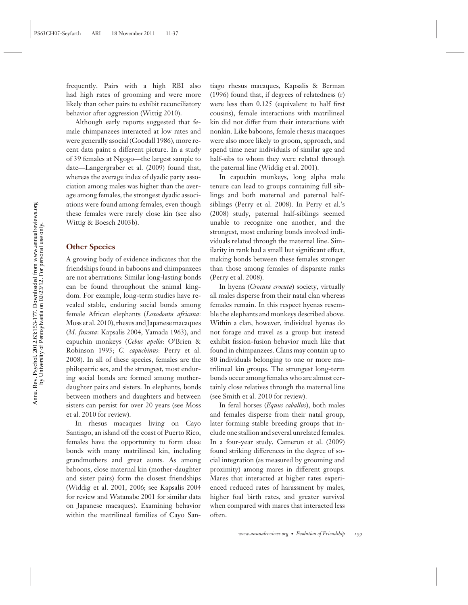frequently. Pairs with a high RBI also had high rates of grooming and were more likely than other pairs to exhibit reconciliatory behavior after aggression (Wittig 2010).

Although early reports suggested that female chimpanzees interacted at low rates and were generally asocial (Goodall 1986), more recent data paint a different picture. In a study of 39 females at Ngogo—the largest sample to date—Langergraber et al. (2009) found that, whereas the average index of dyadic party association among males was higher than the average among females, the strongest dyadic associations were found among females, even though these females were rarely close kin (see also Wittig & Boesch 2003b).

# **Other Species**

A growing body of evidence indicates that the friendships found in baboons and chimpanzees are not aberrations: Similar long-lasting bonds can be found throughout the animal kingdom. For example, long-term studies have revealed stable, enduring social bonds among female African elephants (*Loxodonta africana*: Moss et al. 2010), rhesus and Japanese macaques (*M. fuscata*: Kapsalis 2004, Yamada 1963), and capuchin monkeys (*Cebus apella*: O'Brien & Robinson 1993; *C. capuchinus*: Perry et al. 2008). In all of these species, females are the philopatric sex, and the strongest, most enduring social bonds are formed among motherdaughter pairs and sisters. In elephants, bonds between mothers and daughters and between sisters can persist for over 20 years (see Moss et al. 2010 for review).

In rhesus macaques living on Cayo Santiago, an island off the coast of Puerto Rico, females have the opportunity to form close bonds with many matrilineal kin, including grandmothers and great aunts. As among baboons, close maternal kin (mother-daughter and sister pairs) form the closest friendships (Widdig et al. 2001, 2006; see Kapsalis 2004 for review and Watanabe 2001 for similar data on Japanese macaques). Examining behavior within the matrilineal families of Cayo San-

tiago rhesus macaques, Kapsalis & Berman (1996) found that, if degrees of relatedness (r) were less than 0.125 (equivalent to half first cousins), female interactions with matrilineal kin did not differ from their interactions with nonkin. Like baboons, female rhesus macaques were also more likely to groom, approach, and spend time near individuals of similar age and half-sibs to whom they were related through the paternal line (Widdig et al. 2001).

In capuchin monkeys, long alpha male tenure can lead to groups containing full siblings and both maternal and paternal halfsiblings (Perry et al. 2008). In Perry et al.'s (2008) study, paternal half-siblings seemed unable to recognize one another, and the strongest, most enduring bonds involved individuals related through the maternal line. Similarity in rank had a small but significant effect, making bonds between these females stronger than those among females of disparate ranks (Perry et al. 2008).

In hyena (*Crocuta crocuta*) society, virtually all males disperse from their natal clan whereas females remain. In this respect hyenas resemble the elephants and monkeys described above. Within a clan, however, individual hyenas do not forage and travel as a group but instead exhibit fission-fusion behavior much like that found in chimpanzees. Clans may contain up to 80 individuals belonging to one or more matrilineal kin groups. The strongest long-term bonds occur among females who are almost certainly close relatives through the maternal line (see Smith et al. 2010 for review).

In feral horses (*Equus caballus*), both males and females disperse from their natal group, later forming stable breeding groups that include one stallion and several unrelated females. In a four-year study, Cameron et al. (2009) found striking differences in the degree of social integration (as measured by grooming and proximity) among mares in different groups. Mares that interacted at higher rates experienced reduced rates of harassment by males, higher foal birth rates, and greater survival when compared with mares that interacted less often.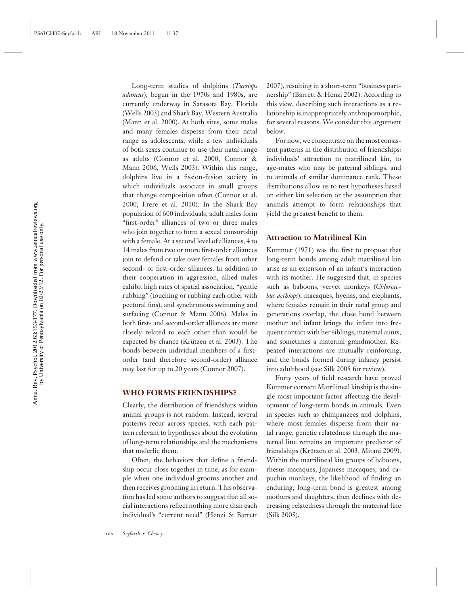Annu. Rev. Psychol. 2012.63:153-177. Downloaded from www.annualreviews.org<br>by University of Pennsylvania on 02/23/12. For personal use only. Annu. Rev. Psychol. 2012.63:153-177. Downloaded from www.annualreviews.org by University of Pennsylvania on 02/23/12. For personal use only.

Long-term studies of dolphins (*Tursiops aduncus*), begun in the 1970s and 1980s, are currently underway in Sarasota Bay, Florida (Wells 2003) and Shark Bay, Western Australia (Mann et al. 2000). At both sites, some males and many females disperse from their natal range as adolescents, while a few individuals of both sexes continue to use their natal range as adults (Connor et al. 2000, Connor & Mann 2006, Wells 2003). Within this range, dolphins live in a fission-fusion society in which individuals associate in small groups that change composition often (Connor et al. 2000, Frere et al. 2010). In the Shark Bay population of 600 individuals, adult males form "first-order" alliances of two or three males who join together to form a sexual consortship with a female. At a second level of alliances, 4 to 14 males from two or more first-order alliances join to defend or take over females from other second- or first-order alliances. In addition to their cooperation in aggression, allied males exhibit high rates of spatial association, "gentle rubbing" (touching or rubbing each other with pectoral fins), and synchronous swimming and surfacing (Connor & Mann 2006). Males in both first- and second-order alliances are more closely related to each other than would be expected by chance (Krützen et al. 2003). The bonds between individual members of a firstorder (and therefore second-order) alliance may last for up to 20 years (Connor 2007).

#### **WHO FORMS FRIENDSHIPS?**

Clearly, the distribution of friendships within animal groups is not random. Instead, several patterns recur across species, with each pattern relevant to hypotheses about the evolution of long-term relationships and the mechanisms that underlie them.

Often, the behaviors that define a friendship occur close together in time, as for example when one individual grooms another and then receives grooming in return. This observation has led some authors to suggest that all social interactions reflect nothing more than each individual's "current need" (Henzi & Barrett 2007), resulting in a short-term "business partnership" (Barrett & Henzi 2002). According to this view, describing such interactions as a relationship is inappropriately anthropomorphic, for several reasons. We consider this argument below.

For now, we concentrate on the most consistent patterns in the distribution of friendships: individuals' attraction to matrilineal kin, to age-mates who may be paternal siblings, and to animals of similar dominance rank. These distributions allow us to test hypotheses based on either kin selection or the assumption that animals attempt to form relationships that yield the greatest benefit to them.

#### **Attraction to Matrilineal Kin**

Kummer (1971) was the first to propose that long-term bonds among adult matrilineal kin arise as an extension of an infant's interaction with its mother. He suggested that, in species such as baboons, vervet monkeys (*Chlorocebus aethiops*), macaques, hyenas, and elephants, where females remain in their natal group and generations overlap, the close bond between mother and infant brings the infant into frequent contact with her siblings, maternal aunts, and sometimes a maternal grandmother. Repeated interactions are mutually reinforcing, and the bonds formed during infancy persist into adulthood (see Silk 2005 for review).

Forty years of field research have proved Kummer correct: Matrilineal kinship is the single most important factor affecting the development of long-term bonds in animals. Even in species such as chimpanzees and dolphins, where most females disperse from their natal range, genetic relatedness through the maternal line remains an important predictor of friendships (Krützen et al. 2003, Mitani 2009). Within the matrilineal kin groups of baboons, rhesus macaques, Japanese macaques, and capuchin monkeys, the likelihood of finding an enduring, long-term bond is greatest among mothers and daughters, then declines with decreasing relatedness through the maternal line (Silk 2005).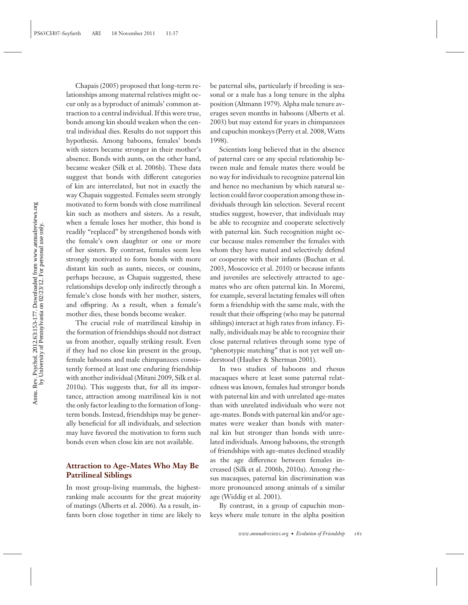Chapais (2005) proposed that long-term relationships among maternal relatives might occur only as a byproduct of animals' common attraction to a central individual. If this were true, bonds among kin should weaken when the central individual dies. Results do not support this hypothesis. Among baboons, females' bonds with sisters became stronger in their mother's absence. Bonds with aunts, on the other hand, became weaker (Silk et al. 2006b). These data suggest that bonds with different categories of kin are interrelated, but not in exactly the way Chapais suggested. Females seem strongly motivated to form bonds with close matrilineal kin such as mothers and sisters. As a result, when a female loses her mother, this bond is readily "replaced" by strengthened bonds with the female's own daughter or one or more of her sisters. By contrast, females seem less strongly motivated to form bonds with more distant kin such as aunts, nieces, or cousins, perhaps because, as Chapais suggested, these relationships develop only indirectly through a female's close bonds with her mother, sisters, and offspring. As a result, when a female's mother dies, these bonds become weaker.

The crucial role of matrilineal kinship in the formation of friendships should not distract us from another, equally striking result. Even if they had no close kin present in the group, female baboons and male chimpanzees consistently formed at least one enduring friendship with another individual (Mitani 2009, Silk et al. 2010a). This suggests that, for all its importance, attraction among matrilineal kin is not the only factor leading to the formation of longterm bonds. Instead, friendships may be generally beneficial for all individuals, and selection may have favored the motivation to form such bonds even when close kin are not available.

# **Attraction to Age-Mates Who May Be Patrilineal Siblings**

In most group-living mammals, the highestranking male accounts for the great majority of matings (Alberts et al. 2006). As a result, infants born close together in time are likely to be paternal sibs, particularly if breeding is seasonal or a male has a long tenure in the alpha position (Altmann 1979). Alpha male tenure averages seven months in baboons (Alberts et al. 2003) but may extend for years in chimpanzees and capuchin monkeys (Perry et al. 2008, Watts 1998).

Scientists long believed that in the absence of paternal care or any special relationship between male and female mates there would be no way for individuals to recognize paternal kin and hence no mechanism by which natural selection could favor cooperation among these individuals through kin selection. Several recent studies suggest, however, that individuals may be able to recognize and cooperate selectively with paternal kin. Such recognition might occur because males remember the females with whom they have mated and selectively defend or cooperate with their infants (Buchan et al. 2003, Moscovice et al. 2010) or because infants and juveniles are selectively attracted to agemates who are often paternal kin. In Moremi, for example, several lactating females will often form a friendship with the same male, with the result that their offspring (who may be paternal siblings) interact at high rates from infancy. Finally, individuals may be able to recognize their close paternal relatives through some type of "phenotypic matching" that is not yet well understood (Hauber & Sherman 2001).

In two studies of baboons and rhesus macaques where at least some paternal relatedness was known, females had stronger bonds with paternal kin and with unrelated age-mates than with unrelated individuals who were not age-mates. Bonds with paternal kin and/or agemates were weaker than bonds with maternal kin but stronger than bonds with unrelated individuals. Among baboons, the strength of friendships with age-mates declined steadily as the age difference between females increased (Silk et al. 2006b, 2010a). Among rhesus macaques, paternal kin discrimination was more pronounced among animals of a similar age (Widdig et al. 2001).

By contrast, in a group of capuchin monkeys where male tenure in the alpha position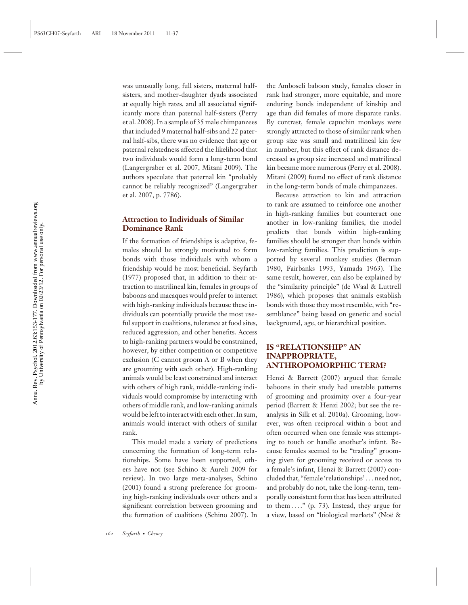was unusually long, full sisters, maternal halfsisters, and mother-daughter dyads associated at equally high rates, and all associated significantly more than paternal half-sisters (Perry et al. 2008). In a sample of 35 male chimpanzees that included 9 maternal half-sibs and 22 paternal half-sibs, there was no evidence that age or paternal relatedness affected the likelihood that two individuals would form a long-term bond (Langergraber et al. 2007, Mitani 2009). The authors speculate that paternal kin "probably cannot be reliably recognized" (Langergraber et al. 2007, p. 7786).

# **Attraction to Individuals of Similar Dominance Rank**

If the formation of friendships is adaptive, females should be strongly motivated to form bonds with those individuals with whom a friendship would be most beneficial. Seyfarth (1977) proposed that, in addition to their attraction to matrilineal kin, females in groups of baboons and macaques would prefer to interact with high-ranking individuals because these individuals can potentially provide the most useful support in coalitions, tolerance at food sites, reduced aggression, and other benefits. Access to high-ranking partners would be constrained, however, by either competition or competitive exclusion (C cannot groom A or B when they are grooming with each other). High-ranking animals would be least constrained and interact with others of high rank, middle-ranking individuals would compromise by interacting with others of middle rank, and low-ranking animals would be left to interact with each other. In sum, animals would interact with others of similar rank.

This model made a variety of predictions concerning the formation of long-term relationships. Some have been supported, others have not (see Schino & Aureli 2009 for review). In two large meta-analyses, Schino (2001) found a strong preference for grooming high-ranking individuals over others and a significant correlation between grooming and the formation of coalitions (Schino 2007). In

the Amboseli baboon study, females closer in rank had stronger, more equitable, and more enduring bonds independent of kinship and age than did females of more disparate ranks. By contrast, female capuchin monkeys were strongly attracted to those of similar rank when group size was small and matrilineal kin few in number, but this effect of rank distance decreased as group size increased and matrilineal kin became more numerous (Perry et al. 2008). Mitani (2009) found no effect of rank distance in the long-term bonds of male chimpanzees.

Because attraction to kin and attraction to rank are assumed to reinforce one another in high-ranking families but counteract one another in low-ranking families, the model predicts that bonds within high-ranking families should be stronger than bonds within low-ranking families. This prediction is supported by several monkey studies (Berman 1980, Fairbanks 1993, Yamada 1963). The same result, however, can also be explained by the "similarity principle" (de Waal & Luttrell 1986), which proposes that animals establish bonds with those they most resemble, with "resemblance" being based on genetic and social background, age, or hierarchical position.

# **IS "RELATIONSHIP" AN INAPPROPRIATE, ANTHROPOMORPHIC TERM?**

Henzi & Barrett (2007) argued that female baboons in their study had unstable patterns of grooming and proximity over a four-year period (Barrett & Henzi 2002; but see the reanalysis in Silk et al. 2010a). Grooming, however, was often reciprocal within a bout and often occurred when one female was attempting to touch or handle another's infant. Because females seemed to be "trading" grooming given for grooming received or access to a female's infant, Henzi & Barrett (2007) concluded that, "female 'relationships' ... need not, and probably do not, take the long-term, temporally consistent form that has been attributed to them  $\dots$ ." (p. 73). Instead, they argue for a view, based on "biological markets" (Noë &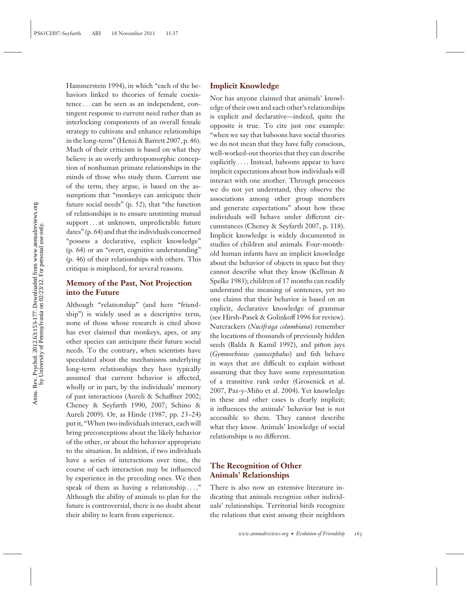Hammerstein 1994), in which "each of the behaviors linked to theories of female coexistence ... can be seen as an independent, contingent response to current need rather than as interlocking components of an overall female strategy to cultivate and enhance relationships in the long-term" (Henzi & Barrett 2007, p. 46). Much of their criticism is based on what they believe is an overly anthropomorphic conception of nonhuman primate relationships in the minds of those who study them. Current use of the term, they argue, is based on the assumptions that "monkeys can anticipate their future social needs" (p. 52), that "the function of relationships is to ensure unstinting mutual support... at unknown, unpredictable future dates" (p. 64) and that the individuals concerned "possess a declarative, explicit knowledge" (p. 64) or an "overt, cognitive understanding" (p. 46) of their relationships with others. This critique is misplaced, for several reasons.

## **Memory of the Past, Not Projection into the Future**

Although "relationship" (and here "friendship") is widely used as a descriptive term, none of those whose research is cited above has ever claimed that monkeys, apes, or any other species can anticipate their future social needs. To the contrary, when scientists have speculated about the mechanisms underlying long-term relationships they have typically assumed that current behavior is affected, wholly or in part, by the individuals' memory of past interactions (Aureli & Schaffner 2002; Cheney & Seyfarth 1990, 2007; Schino & Aureli 2009). Or, as Hinde (1987, pp. 23–24) put it, "When two individuals interact, each will bring preconceptions about the likely behavior of the other, or about the behavior appropriate to the situation. In addition, if two individuals have a series of interactions over time, the course of each interaction may be influenced by experience in the preceding ones. We then speak of them as having a relationship ...." Although the ability of animals to plan for the future is controversial, there is no doubt about their ability to learn from experience.

#### **Implicit Knowledge**

Nor has anyone claimed that animals' knowledge of their own and each other's relationships is explicit and declarative—indeed, quite the opposite is true. To cite just one example: "when we say that baboons have social theories we do not mean that they have fully conscious, well-worked-out theories that they can describe explicitly ... . Instead, baboons appear to have implicit expectations about how individuals will interact with one another. Through processes we do not yet understand, they observe the associations among other group members and generate expectations" about how these individuals will behave under different circumstances (Cheney & Seyfarth 2007, p. 118). Implicit knowledge is widely documented in studies of children and animals. Four-monthold human infants have an implicit knowledge about the behavior of objects in space but they cannot describe what they know (Kellman & Spelke 1983); children of 17 months can readily understand the meaning of sentences, yet no one claims that their behavior is based on an explicit, declarative knowledge of grammar (see Hirsh-Pasek & Golinkoff 1996 for review). Nutcrackers (*Nucifraga columbiana*) remember the locations of thousands of previously hidden seeds (Balda & Kamil 1992), and piñon jays (*Gymnorhinus cyanocephalus*) and fish behave in ways that are difficult to explain without assuming that they have some representation of a transitive rank order (Grosenick et al. 2007, Paz-y-Miño et al. 2004). Yet knowledge in these and other cases is clearly implicit; it influences the animals' behavior but is not accessible to them. They cannot describe what they know. Animals' knowledge of social relationships is no different.

# **The Recognition of Other Animals' Relationships**

There is also now an extensive literature indicating that animals recognize other individuals' relationships. Territorial birds recognize the relations that exist among their neighbors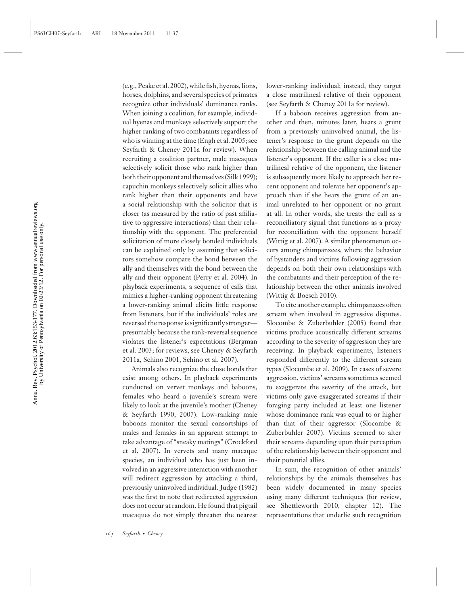(e.g., Peake et al. 2002), while fish, hyenas, lions, horses, dolphins, and several species of primates recognize other individuals' dominance ranks. When joining a coalition, for example, individual hyenas and monkeys selectively support the higher ranking of two combatants regardless of who is winning at the time (Engh et al. 2005; see Seyfarth & Cheney 2011a for review). When recruiting a coalition partner, male macaques selectively solicit those who rank higher than both their opponent and themselves (Silk 1999); capuchin monkeys selectively solicit allies who rank higher than their opponents and have a social relationship with the solicitor that is closer (as measured by the ratio of past affiliative to aggressive interactions) than their relationship with the opponent. The preferential solicitation of more closely bonded individuals can be explained only by assuming that solicitors somehow compare the bond between the ally and themselves with the bond between the ally and their opponent (Perry et al. 2004). In playback experiments, a sequence of calls that mimics a higher-ranking opponent threatening a lower-ranking animal elicits little response from listeners, but if the individuals' roles are reversed the response is significantly stronger presumably because the rank-reversal sequence violates the listener's expectations (Bergman et al. 2003; for reviews, see Cheney & Seyfarth 2011a, Schino 2001, Schino et al. 2007).

Animals also recognize the close bonds that exist among others. In playback experiments conducted on vervet monkeys and baboons, females who heard a juvenile's scream were likely to look at the juvenile's mother (Cheney & Seyfarth 1990, 2007). Low-ranking male baboons monitor the sexual consortships of males and females in an apparent attempt to take advantage of "sneaky matings" (Crockford et al. 2007). In vervets and many macaque species, an individual who has just been involved in an aggressive interaction with another will redirect aggression by attacking a third, previously uninvolved individual. Judge (1982) was the first to note that redirected aggression does not occur at random. He found that pigtail macaques do not simply threaten the nearest

lower-ranking individual; instead, they target a close matrilineal relative of their opponent (see Seyfarth & Cheney 2011a for review).

If a baboon receives aggression from another and then, minutes later, hears a grunt from a previously uninvolved animal, the listener's response to the grunt depends on the relationship between the calling animal and the listener's opponent. If the caller is a close matrilineal relative of the opponent, the listener is subsequently more likely to approach her recent opponent and tolerate her opponent's approach than if she hears the grunt of an animal unrelated to her opponent or no grunt at all. In other words, she treats the call as a reconciliatory signal that functions as a proxy for reconciliation with the opponent herself (Wittig et al. 2007). A similar phenomenon occurs among chimpanzees, where the behavior of bystanders and victims following aggression depends on both their own relationships with the combatants and their perception of the relationship between the other animals involved (Wittig & Boesch 2010).

To cite another example, chimpanzees often scream when involved in aggressive disputes. Slocombe & Zuberbuhler (2005) found that victims produce acoustically different screams according to the severity of aggression they are receiving. In playback experiments, listeners responded differently to the different scream types (Slocombe et al. 2009). In cases of severe aggression, victims' screams sometimes seemed to exaggerate the severity of the attack, but victims only gave exaggerated screams if their foraging party included at least one listener whose dominance rank was equal to or higher than that of their aggressor (Slocombe & Zuberbuhler 2007). Victims seemed to alter their screams depending upon their perception of the relationship between their opponent and their potential allies.

In sum, the recognition of other animals' relationships by the animals themselves has been widely documented in many species using many different techniques (for review, see Shettleworth 2010, chapter 12). The representations that underlie such recognition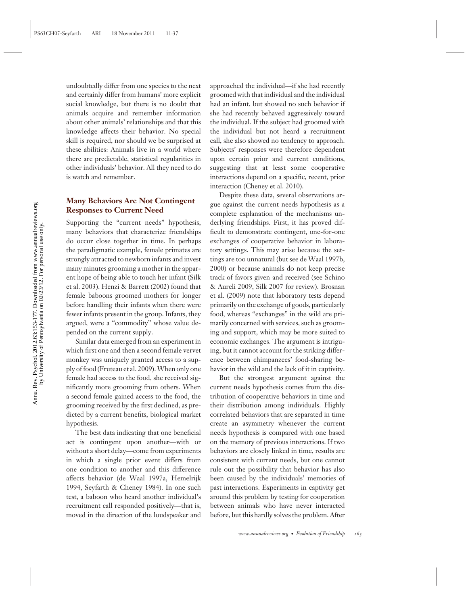undoubtedly differ from one species to the next and certainly differ from humans' more explicit social knowledge, but there is no doubt that animals acquire and remember information about other animals' relationships and that this knowledge affects their behavior. No special skill is required, nor should we be surprised at these abilities: Animals live in a world where there are predictable, statistical regularities in other individuals' behavior. All they need to do is watch and remember.

## **Many Behaviors Are Not Contingent Responses to Current Need**

Supporting the "current needs" hypothesis, many behaviors that characterize friendships do occur close together in time. In perhaps the paradigmatic example, female primates are strongly attracted to newborn infants and invest many minutes grooming a mother in the apparent hope of being able to touch her infant (Silk et al. 2003). Henzi & Barrett (2002) found that female baboons groomed mothers for longer before handling their infants when there were fewer infants present in the group. Infants, they argued, were a "commodity" whose value depended on the current supply.

Similar data emerged from an experiment in which first one and then a second female vervet monkey was uniquely granted access to a supply of food (Fruteau et al. 2009). When only one female had access to the food, she received significantly more grooming from others. When a second female gained access to the food, the grooming received by the first declined, as predicted by a current benefits, biological market hypothesis.

The best data indicating that one beneficial act is contingent upon another—with or without a short delay—come from experiments in which a single prior event differs from one condition to another and this difference affects behavior (de Waal 1997a, Hemelrijk 1994, Seyfarth & Cheney 1984). In one such test, a baboon who heard another individual's recruitment call responded positively—that is, moved in the direction of the loudspeaker and

approached the individual—if she had recently groomed with that individual and the individual had an infant, but showed no such behavior if she had recently behaved aggressively toward the individual. If the subject had groomed with the individual but not heard a recruitment call, she also showed no tendency to approach. Subjects' responses were therefore dependent upon certain prior and current conditions, suggesting that at least some cooperative interactions depend on a specific, recent, prior interaction (Cheney et al. 2010).

Despite these data, several observations argue against the current needs hypothesis as a complete explanation of the mechanisms underlying friendships. First, it has proved difficult to demonstrate contingent, one-for-one exchanges of cooperative behavior in laboratory settings. This may arise because the settings are too unnatural (but see de Waal 1997b, 2000) or because animals do not keep precise track of favors given and received (see Schino & Aureli 2009, Silk 2007 for review). Brosnan et al. (2009) note that laboratory tests depend primarily on the exchange of goods, particularly food, whereas "exchanges" in the wild are primarily concerned with services, such as grooming and support, which may be more suited to economic exchanges. The argument is intriguing, but it cannot account for the striking difference between chimpanzees' food-sharing behavior in the wild and the lack of it in captivity.

But the strongest argument against the current needs hypothesis comes from the distribution of cooperative behaviors in time and their distribution among individuals. Highly correlated behaviors that are separated in time create an asymmetry whenever the current needs hypothesis is compared with one based on the memory of previous interactions. If two behaviors are closely linked in time, results are consistent with current needs, but one cannot rule out the possibility that behavior has also been caused by the individuals' memories of past interactions. Experiments in captivity get around this problem by testing for cooperation between animals who have never interacted before, but this hardly solves the problem. After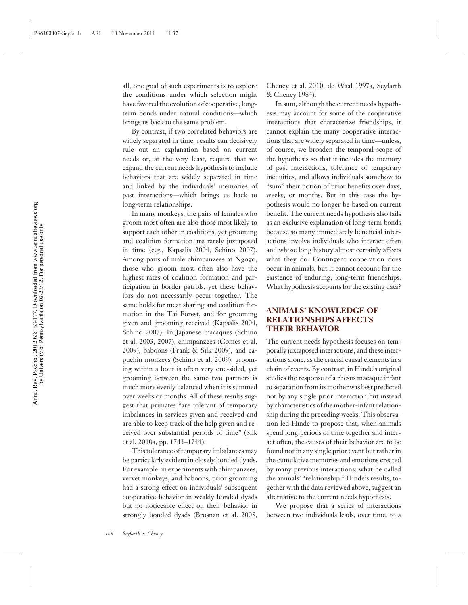all, one goal of such experiments is to explore the conditions under which selection might have favored the evolution of cooperative, longterm bonds under natural conditions—which brings us back to the same problem.

By contrast, if two correlated behaviors are widely separated in time, results can decisively rule out an explanation based on current needs or, at the very least, require that we expand the current needs hypothesis to include behaviors that are widely separated in time and linked by the individuals' memories of past interactions—which brings us back to long-term relationships.

In many monkeys, the pairs of females who groom most often are also those most likely to support each other in coalitions, yet grooming and coalition formation are rarely juxtaposed in time (e.g., Kapsalis 2004, Schino 2007). Among pairs of male chimpanzees at Ngogo, those who groom most often also have the highest rates of coalition formation and participation in border patrols, yet these behaviors do not necessarily occur together. The same holds for meat sharing and coalition formation in the Tai Forest, and for grooming given and grooming received (Kapsalis 2004, Schino 2007). In Japanese macaques (Schino et al. 2003, 2007), chimpanzees (Gomes et al. 2009), baboons (Frank & Silk 2009), and capuchin monkeys (Schino et al. 2009), grooming within a bout is often very one-sided, yet grooming between the same two partners is much more evenly balanced when it is summed over weeks or months. All of these results suggest that primates "are tolerant of temporary imbalances in services given and received and are able to keep track of the help given and received over substantial periods of time" (Silk et al. 2010a, pp. 1743–1744).

This tolerance of temporary imbalances may be particularly evident in closely bonded dyads. For example, in experiments with chimpanzees, vervet monkeys, and baboons, prior grooming had a strong effect on individuals' subsequent cooperative behavior in weakly bonded dyads but no noticeable effect on their behavior in strongly bonded dyads (Brosnan et al. 2005, Cheney et al. 2010, de Waal 1997a, Seyfarth & Cheney 1984).

In sum, although the current needs hypothesis may account for some of the cooperative interactions that characterize friendships, it cannot explain the many cooperative interactions that are widely separated in time—unless, of course, we broaden the temporal scope of the hypothesis so that it includes the memory of past interactions, tolerance of temporary inequities, and allows individuals somehow to "sum" their notion of prior benefits over days, weeks, or months. But in this case the hypothesis would no longer be based on current benefit. The current needs hypothesis also fails as an exclusive explanation of long-term bonds because so many immediately beneficial interactions involve individuals who interact often and whose long history almost certainly affects what they do. Contingent cooperation does occur in animals, but it cannot account for the existence of enduring, long-term friendships. What hypothesis accounts for the existing data?

# **ANIMALS' KNOWLEDGE OF RELATIONSHIPS AFFECTS THEIR BEHAVIOR**

The current needs hypothesis focuses on temporally juxtaposed interactions, and these interactions alone, as the crucial causal elements in a chain of events. By contrast, in Hinde's original studies the response of a rhesus macaque infant to separation from its mother was best predicted not by any single prior interaction but instead by characteristics of the mother-infant relationship during the preceding weeks. This observation led Hinde to propose that, when animals spend long periods of time together and interact often, the causes of their behavior are to be found not in any single prior event but rather in the cumulative memories and emotions created by many previous interactions: what he called the animals' "relationship." Hinde's results, together with the data reviewed above, suggest an alternative to the current needs hypothesis.

We propose that a series of interactions between two individuals leads, over time, to a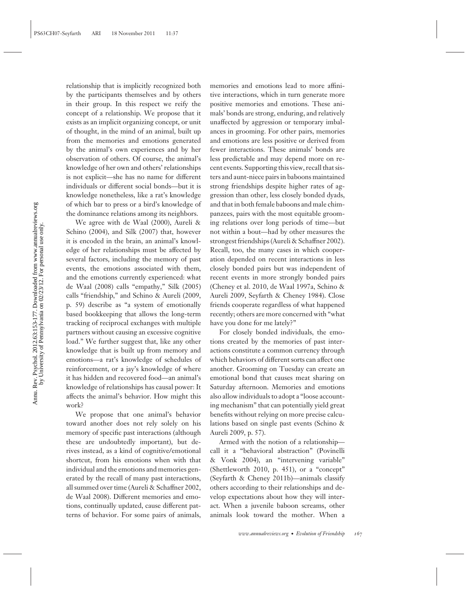relationship that is implicitly recognized both by the participants themselves and by others in their group. In this respect we reify the concept of a relationship. We propose that it exists as an implicit organizing concept, or unit of thought, in the mind of an animal, built up from the memories and emotions generated by the animal's own experiences and by her observation of others. Of course, the animal's knowledge of her own and others' relationships is not explicit—she has no name for different individuals or different social bonds—but it is knowledge nonetheless, like a rat's knowledge of which bar to press or a bird's knowledge of the dominance relations among its neighbors.

We agree with de Waal (2000), Aureli & Schino (2004), and Silk (2007) that, however it is encoded in the brain, an animal's knowledge of her relationships must be affected by several factors, including the memory of past events, the emotions associated with them, and the emotions currently experienced: what de Waal (2008) calls "empathy," Silk (2005) calls "friendship," and Schino & Aureli (2009, p. 59) describe as "a system of emotionally based bookkeeping that allows the long-term tracking of reciprocal exchanges with multiple partners without causing an excessive cognitive load." We further suggest that, like any other knowledge that is built up from memory and emotions—a rat's knowledge of schedules of reinforcement, or a jay's knowledge of where it has hidden and recovered food—an animal's knowledge of relationships has causal power: It affects the animal's behavior. How might this work?

We propose that one animal's behavior toward another does not rely solely on his memory of specific past interactions (although these are undoubtedly important), but derives instead, as a kind of cognitive/emotional shortcut, from his emotions when with that individual and the emotions and memories generated by the recall of many past interactions, all summed over time (Aureli & Schaffner 2002, de Waal 2008). Different memories and emotions, continually updated, cause different patterns of behavior. For some pairs of animals,

memories and emotions lead to more affinitive interactions, which in turn generate more positive memories and emotions. These animals' bonds are strong, enduring, and relatively unaffected by aggression or temporary imbalances in grooming. For other pairs, memories and emotions are less positive or derived from fewer interactions. These animals' bonds are less predictable and may depend more on recent events. Supporting this view, recall that sisters and aunt-niece pairs in baboons maintained strong friendships despite higher rates of aggression than other, less closely bonded dyads, and that in both female baboons and male chimpanzees, pairs with the most equitable grooming relations over long periods of time—but not within a bout—had by other measures the strongest friendships (Aureli & Schaffner 2002). Recall, too, the many cases in which cooperation depended on recent interactions in less closely bonded pairs but was independent of recent events in more strongly bonded pairs (Cheney et al. 2010, de Waal 1997a, Schino & Aureli 2009, Seyfarth & Cheney 1984). Close friends cooperate regardless of what happened recently; others are more concerned with "what have you done for me lately?"

For closely bonded individuals, the emotions created by the memories of past interactions constitute a common currency through which behaviors of different sorts can affect one another. Grooming on Tuesday can create an emotional bond that causes meat sharing on Saturday afternoon. Memories and emotions also allow individuals to adopt a "loose accounting mechanism" that can potentially yield great benefits without relying on more precise calculations based on single past events (Schino & Aureli 2009, p. 57).

Armed with the notion of a relationship call it a "behavioral abstraction" (Povinelli & Vonk 2004), an "intervening variable" (Shettleworth 2010, p. 451), or a "concept" (Seyfarth & Cheney 2011b)—animals classify others according to their relationships and develop expectations about how they will interact. When a juvenile baboon screams, other animals look toward the mother. When a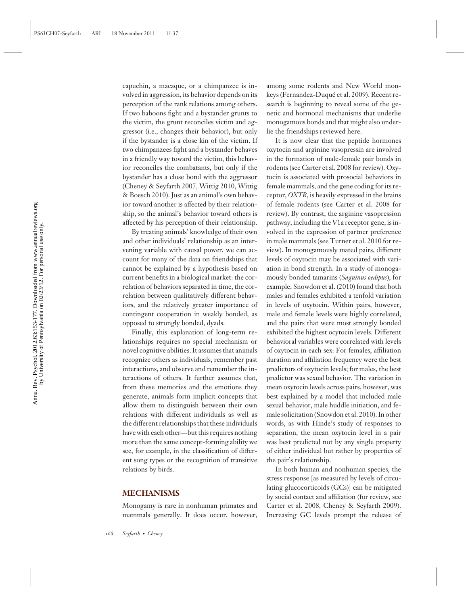capuchin, a macaque, or a chimpanzee is involved in aggression, its behavior depends on its perception of the rank relations among others. If two baboons fight and a bystander grunts to the victim, the grunt reconciles victim and aggressor (i.e., changes their behavior), but only if the bystander is a close kin of the victim. If two chimpanzees fight and a bystander behaves in a friendly way toward the victim, this behavior reconciles the combatants, but only if the bystander has a close bond with the aggressor (Cheney & Seyfarth 2007, Wittig 2010, Wittig & Boesch 2010). Just as an animal's own behavior toward another is affected by their relationship, so the animal's behavior toward others is affected by his perception of their relationship.

By treating animals' knowledge of their own and other individuals' relationship as an intervening variable with causal power, we can account for many of the data on friendships that cannot be explained by a hypothesis based on current benefits in a biological market: the correlation of behaviors separated in time, the correlation between qualitatively different behaviors, and the relatively greater importance of contingent cooperation in weakly bonded, as opposed to strongly bonded, dyads.

Finally, this explanation of long-term relationships requires no special mechanism or novel cognitive abilities. It assumes that animals recognize others as individuals, remember past interactions, and observe and remember the interactions of others. It further assumes that, from these memories and the emotions they generate, animals form implicit concepts that allow them to distinguish between their own relations with different individuals as well as the different relationships that these individuals have with each other—but this requires nothing more than the same concept-forming ability we see, for example, in the classification of different song types or the recognition of transitive relations by birds.

#### **MECHANISMS**

Monogamy is rare in nonhuman primates and mammals generally. It does occur, however,

among some rodents and New World monkeys (Fernandez-Duqué et al. 2009). Recent research is beginning to reveal some of the genetic and hormonal mechanisms that underlie monogamous bonds and that might also underlie the friendships reviewed here.

It is now clear that the peptide hormones oxytocin and arginine vasopressin are involved in the formation of male-female pair bonds in rodents (see Carter et al. 2008 for review). Oxytocin is associated with prosocial behaviors in female mammals, and the gene coding for its receptor, *OXTR*, is heavily expressed in the brains of female rodents (see Carter et al. 2008 for review). By contrast, the arginine vasopression pathway, including the V1a receptor gene, is involved in the expression of partner preference in male mammals (see Turner et al. 2010 for review). In monogamously mated pairs, different levels of oxytocin may be associated with variation in bond strength. In a study of monogamously bonded tamarins (*Saguinus oedipus*), for example, Snowdon et al. (2010) found that both males and females exhibited a tenfold variation in levels of oxytocin. Within pairs, however, male and female levels were highly correlated, and the pairs that were most strongly bonded exhibited the highest ocytocin levels. Different behavioral variables were correlated with levels of oxytocin in each sex: For females, affiliation duration and affiliation frequency were the best predictors of oxytocin levels; for males, the best predictor was sexual behavior. The variation in mean oxytocin levels across pairs, however, was best explained by a model that included male sexual behavior, male huddle initiation, and female solicitation (Snowdon et al. 2010). In other words, as with Hinde's study of responses to separation, the mean oxytocin level in a pair was best predicted not by any single property of either individual but rather by properties of the pair's relationship.

In both human and nonhuman species, the stress response [as measured by levels of circulating glucocorticoids (GCs)] can be mitigated by social contact and affiliation (for review, see Carter et al. 2008, Cheney & Seyfarth 2009). Increasing GC levels prompt the release of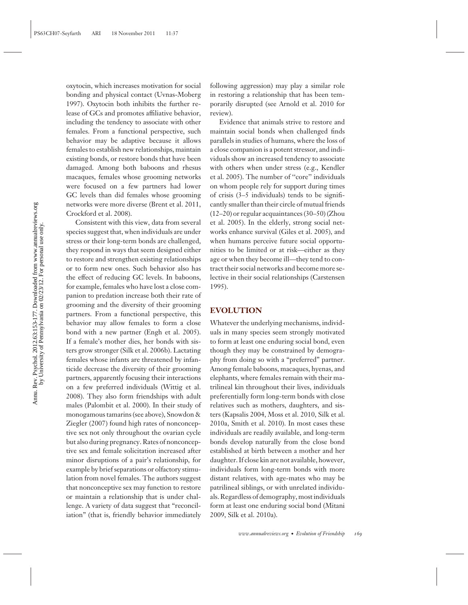oxytocin, which increases motivation for social bonding and physical contact (Uvnas-Moberg 1997). Oxytocin both inhibits the further release of GCs and promotes affiliative behavior, including the tendency to associate with other females. From a functional perspective, such behavior may be adaptive because it allows females to establish new relationships, maintain existing bonds, or restore bonds that have been damaged. Among both baboons and rhesus macaques, females whose grooming networks were focused on a few partners had lower GC levels than did females whose grooming networks were more diverse (Brent et al. 2011, Crockford et al. 2008).

Consistent with this view, data from several species suggest that, when individuals are under stress or their long-term bonds are challenged, they respond in ways that seem designed either to restore and strengthen existing relationships or to form new ones. Such behavior also has the effect of reducing GC levels. In baboons, for example, females who have lost a close companion to predation increase both their rate of grooming and the diversity of their grooming partners. From a functional perspective, this behavior may allow females to form a close bond with a new partner (Engh et al. 2005). If a female's mother dies, her bonds with sisters grow stronger (Silk et al. 2006b). Lactating females whose infants are threatened by infanticide decrease the diversity of their grooming partners, apparently focusing their interactions on a few preferred individuals (Wittig et al. 2008). They also form friendships with adult males (Palombit et al. 2000). In their study of monogamous tamarins (see above), Snowdon & Ziegler (2007) found high rates of nonconceptive sex not only throughout the ovarian cycle but also during pregnancy. Rates of nonconceptive sex and female solicitation increased after minor disruptions of a pair's relationship, for example by brief separations or olfactory stimulation from novel females. The authors suggest that nonconceptive sex may function to restore or maintain a relationship that is under challenge. A variety of data suggest that "reconciliation" (that is, friendly behavior immediately

following aggression) may play a similar role in restoring a relationship that has been temporarily disrupted (see Arnold et al. 2010 for review).

Evidence that animals strive to restore and maintain social bonds when challenged finds parallels in studies of humans, where the loss of a close companion is a potent stressor, and individuals show an increased tendency to associate with others when under stress (e.g., Kendler et al. 2005). The number of ''core'' individuals on whom people rely for support during times of crisis (3–5 individuals) tends to be significantly smaller than their circle of mutual friends (12–20) or regular acquaintances (30–50) (Zhou et al. 2005). In the elderly, strong social networks enhance survival (Giles et al. 2005), and when humans perceive future social opportunities to be limited or at risk—either as they age or when they become ill—they tend to contract their social networks and become more selective in their social relationships (Carstensen 1995).

#### **EVOLUTION**

Whatever the underlying mechanisms, individuals in many species seem strongly motivated to form at least one enduring social bond, even though they may be constrained by demography from doing so with a "preferred" partner. Among female baboons, macaques, hyenas, and elephants, where females remain with their matrilineal kin throughout their lives, individuals preferentially form long-term bonds with close relatives such as mothers, daughters, and sisters (Kapsalis 2004, Moss et al. 2010, Silk et al. 2010a, Smith et al. 2010). In most cases these individuals are readily available, and long-term bonds develop naturally from the close bond established at birth between a mother and her daughter. If close kin are not available, however, individuals form long-term bonds with more distant relatives, with age-mates who may be patrilineal siblings, or with unrelated individuals. Regardless of demography, most individuals form at least one enduring social bond (Mitani 2009, Silk et al. 2010a).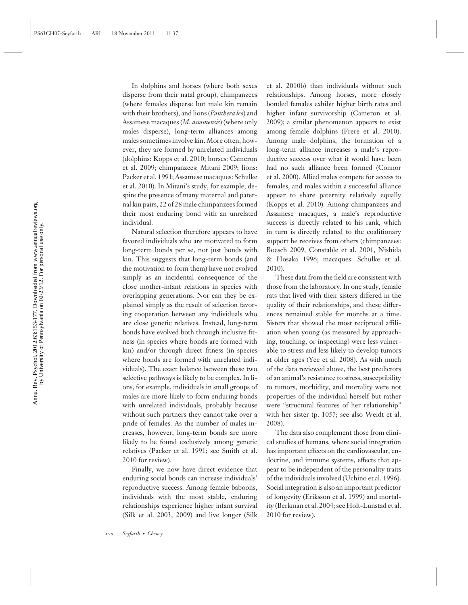In dolphins and horses (where both sexes disperse from their natal group), chimpanzees (where females disperse but male kin remain with their brothers), and lions (*Panthera leo*) and Assamese macaques (*M. assamensis*) (where only males disperse), long-term alliances among males sometimes involve kin. More often, however, they are formed by unrelated individuals (dolphins: Kopps et al. 2010; horses: Cameron et al. 2009; chimpanzees: Mitani 2009; lions: Packer et al. 1991; Assamese macaques: Schulke et al. 2010). In Mitani's study, for example, despite the presence of many maternal and paternal kin pairs, 22 of 28 male chimpanzees formed their most enduring bond with an unrelated individual.

Natural selection therefore appears to have favored individuals who are motivated to form long-term bonds per se, not just bonds with kin. This suggests that long-term bonds (and the motivation to form them) have not evolved simply as an incidental consequence of the close mother-infant relations in species with overlapping generations. Nor can they be explained simply as the result of selection favoring cooperation between any individuals who are close genetic relatives. Instead, long-term bonds have evolved both through inclusive fitness (in species where bonds are formed with kin) and/or through direct fitness (in species where bonds are formed with unrelated individuals). The exact balance between these two selective pathways is likely to be complex. In lions, for example, individuals in small groups of males are more likely to form enduring bonds with unrelated individuals, probably because without such partners they cannot take over a pride of females. As the number of males increases, however, long-term bonds are more likely to be found exclusively among genetic relatives (Packer et al. 1991; see Smith et al. 2010 for review).

Finally, we now have direct evidence that enduring social bonds can increase individuals' reproductive success. Among female baboons, individuals with the most stable, enduring relationships experience higher infant survival (Silk et al. 2003, 2009) and live longer (Silk et al. 2010b) than individuals without such relationships. Among horses, more closely bonded females exhibit higher birth rates and higher infant survivorship (Cameron et al. 2009); a similar phenomenon appears to exist among female dolphins (Frere et al. 2010). Among male dolphins, the formation of a long-term alliance increases a male's reproductive success over what it would have been had no such alliance been formed (Connor et al. 2000). Allied males compete for access to females, and males within a successful alliance appear to share paternity relatively equally (Kopps et al. 2010). Among chimpanzees and Assamese macaques, a male's reproductive success is directly related to his rank, which in turn is directly related to the coalitionary support he receives from others (chimpanzees: Boesch 2009, Constable et al. 2001, Nishida & Hosaka 1996; macaques: Schulke et al. 2010).

These data from the field are consistent with those from the laboratory. In one study, female rats that lived with their sisters differed in the quality of their relationships, and these differences remained stable for months at a time. Sisters that showed the most reciprocal affiliation when young (as measured by approaching, touching, or inspecting) were less vulnerable to stress and less likely to develop tumors at older ages (Yee et al. 2008). As with much of the data reviewed above, the best predictors of an animal's resistance to stress, susceptibility to tumors, morbidity, and mortality were not properties of the individual herself but rather were "structural features of her relationship" with her sister (p. 1057; see also Weidt et al. 2008).

The data also complement those from clinical studies of humans, where social integration has important effects on the cardiovascular, endocrine, and immune systems, effects that appear to be independent of the personality traits of the individuals involved (Uchino et al. 1996). Social integration is also an important predictor of longevity (Eriksson et al. 1999) and mortality (Berkman et al. 2004; see Holt-Lunstad et al. 2010 for review).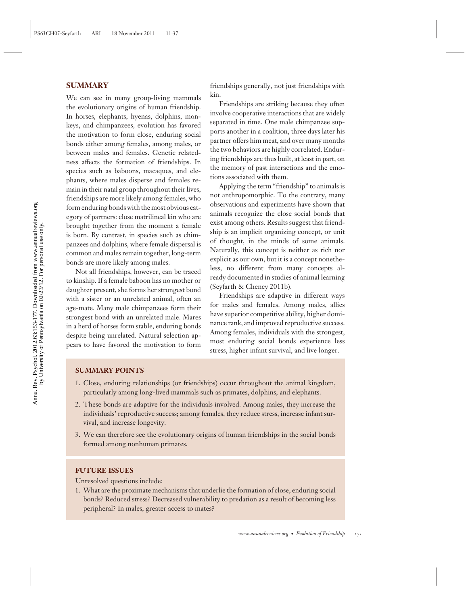# **SUMMARY**

We can see in many group-living mammals the evolutionary origins of human friendship. In horses, elephants, hyenas, dolphins, monkeys, and chimpanzees, evolution has favored the motivation to form close, enduring social bonds either among females, among males, or between males and females. Genetic relatedness affects the formation of friendships. In species such as baboons, macaques, and elephants, where males disperse and females remain in their natal group throughout their lives, friendships are more likely among females, who form enduring bonds with the most obvious category of partners: close matrilineal kin who are brought together from the moment a female is born. By contrast, in species such as chimpanzees and dolphins, where female dispersal is common and males remain together, long-term bonds are more likely among males.

Not all friendships, however, can be traced to kinship. If a female baboon has no mother or daughter present, she forms her strongest bond with a sister or an unrelated animal, often an age-mate. Many male chimpanzees form their strongest bond with an unrelated male. Mares in a herd of horses form stable, enduring bonds despite being unrelated. Natural selection appears to have favored the motivation to form friendships generally, not just friendships with kin.

Friendships are striking because they often involve cooperative interactions that are widely separated in time. One male chimpanzee supports another in a coalition, three days later his partner offers him meat, and over many months the two behaviors are highly correlated. Enduring friendships are thus built, at least in part, on the memory of past interactions and the emotions associated with them.

Applying the term "friendship" to animals is not anthropomorphic. To the contrary, many observations and experiments have shown that animals recognize the close social bonds that exist among others. Results suggest that friendship is an implicit organizing concept, or unit of thought, in the minds of some animals. Naturally, this concept is neither as rich nor explicit as our own, but it is a concept nonetheless, no different from many concepts already documented in studies of animal learning (Seyfarth & Cheney 2011b).

Friendships are adaptive in different ways for males and females. Among males, allies have superior competitive ability, higher dominance rank, and improved reproductive success. Among females, individuals with the strongest, most enduring social bonds experience less stress, higher infant survival, and live longer.

#### **SUMMARY POINTS**

- 1. Close, enduring relationships (or friendships) occur throughout the animal kingdom, particularly among long-lived mammals such as primates, dolphins, and elephants.
- 2. These bonds are adaptive for the individuals involved. Among males, they increase the individuals' reproductive success; among females, they reduce stress, increase infant survival, and increase longevity.
- 3. We can therefore see the evolutionary origins of human friendships in the social bonds formed among nonhuman primates.

#### **FUTURE ISSUES**

Unresolved questions include:

1. What are the proximate mechanisms that underlie the formation of close, enduring social bonds? Reduced stress? Decreased vulnerability to predation as a result of becoming less peripheral? In males, greater access to mates?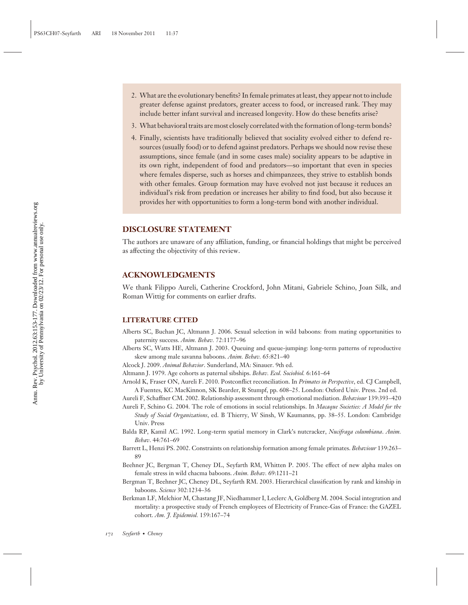- 2. What are the evolutionary benefits? In female primates at least, they appear not to include greater defense against predators, greater access to food, or increased rank. They may include better infant survival and increased longevity. How do these benefits arise?
- 3. What behavioral traits are most closely correlated with the formation of long-term bonds?
- 4. Finally, scientists have traditionally believed that sociality evolved either to defend resources (usually food) or to defend against predators. Perhaps we should now revise these assumptions, since female (and in some cases male) sociality appears to be adaptive in its own right, independent of food and predators—so important that even in species where females disperse, such as horses and chimpanzees, they strive to establish bonds with other females. Group formation may have evolved not just because it reduces an individual's risk from predation or increases her ability to find food, but also because it provides her with opportunities to form a long-term bond with another individual.

# **DISCLOSURE STATEMENT**

The authors are unaware of any affiliation, funding, or financial holdings that might be perceived as affecting the objectivity of this review.

#### **ACKNOWLEDGMENTS**

We thank Filippo Aureli, Catherine Crockford, John Mitani, Gabriele Schino, Joan Silk, and Roman Wittig for comments on earlier drafts.

#### **LITERATURE CITED**

- Alberts SC, Buchan JC, Altmann J. 2006. Sexual selection in wild baboons: from mating opportunities to paternity success. *Anim. Behav.* 72:1177–96
- Alberts SC, Watts HE, Altmann J. 2003. Queuing and queue-jumping: long-term patterns of reproductive skew among male savanna baboons. *Anim. Behav.* 65:821–40
- Alcock J. 2009. *Animal Behavior*. Sunderland, MA: Sinauer. 9th ed.
- Altmann J. 1979. Age cohorts as paternal sibships. *Behav. Ecol. Sociobiol.* 6:161–64
- Arnold K, Fraser ON, Aureli F. 2010. Postconflict reconciliation. In *Primates in Perspective*, ed. CJ Campbell, A Fuentes, KC MacKinnon, SK Bearder, R Stumpf, pp. 608–25. London: Oxford Univ. Press. 2nd ed.

Aureli F, Schaffner CM. 2002. Relationship assessment through emotional mediation. *Behaviour* 139:393–420

- Aureli F, Schino G. 2004. The role of emotions in social relationships. In *Macaque Societies: A Model for the Study of Social Organizations*, ed. B Thierry, W Sinsh, W Kaumanns, pp. 38–55. London: Cambridge Univ. Press
- Balda RP, Kamil AC. 1992. Long-term spatial memory in Clark's nutcracker, *Nucifraga columbiana*. *Anim. Behav*. 44:761–69
- Barrett L, Henzi PS. 2002. Constraints on relationship formation among female primates. *Behaviour* 139:263– 89
- Beehner JC, Bergman T, Cheney DL, Seyfarth RM, Whitten P. 2005. The effect of new alpha males on female stress in wild chacma baboons. *Anim. Behav.* 69:1211–21
- Bergman T, Beehner JC, Cheney DL, Seyfarth RM. 2003. Hierarchical classification by rank and kinship in baboons. *Science* 302:1234–36
- Berkman LF, Melchior M, Chastang JF, Niedhammer I, Leclerc A, Goldberg M. 2004. Social integration and mortality: a prospective study of French employees of Electricity of France-Gas of France: the GAZEL cohort. *Am. J. Epidemiol.* 159:167–74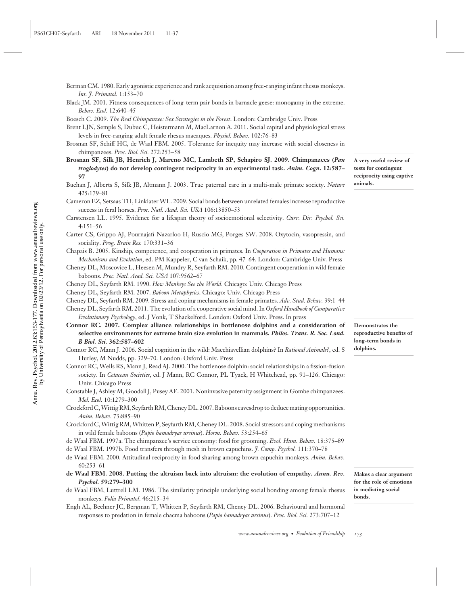- Berman CM. 1980. Early agonistic experience and rank acquisition among free-ranging infant rhesus monkeys. *Int. J. Primatol.* 1:153–70
- Black JM. 2001. Fitness consequences of long-term pair bonds in barnacle geese: monogamy in the extreme. *Behav. Ecol.* 12:640–45
- Boesch C. 2009. *The Real Chimpanzee: Sex Strategies in the Forest*. London: Cambridge Univ. Press
- Brent LJN, Semple S, Dubuc C, Heistermann M, MacLarnon A. 2011. Social capital and physiological stress levels in free-ranging adult female rhesus macaques. *Physiol. Behav.* 102:76–83
- Brosnan SF, Schiff HC, de Waal FBM. 2005. Tolerance for inequity may increase with social closeness in chimpanzees. *Proc. Biol. Sci.* 272:253–58
- **Brosnan SF, Silk JB, Henrich J, Mareno MC, Lambeth SP, Schapiro SJ. 2009. Chimpanzees (***Pan troglodytes***) do not develop contingent reciprocity in an experimental task.** *Anim. Cogn***. 12:587– 97**
- Buchan J, Alberts S, Silk JB, Altmann J. 2003. True paternal care in a multi-male primate society. *Nature* 425:179–81
- Cameron EZ, Setsaas TH, Linklater WL. 2009. Social bonds between unrelated females increase reproductive success in feral horses. *Proc. Natl. Acad. Sci. USA* 106:13850–53
- Carstensen LL. 1995. Evidence for a lifespan theory of socioemotional selectivity. *Curr. Dir. Psychol. Sci.* 4:151–56
- Carter CS, Grippo AJ, Pournajafi-Nazarloo H, Ruscio MG, Porges SW. 2008. Oxytocin, vasopressin, and sociality. *Prog. Brain Res.* 170:331–36
- Chapais B. 2005. Kinship, competence, and cooperation in primates. In *Cooperation in Primates and Humans: Mechanisms and Evolution*, ed. PM Kappeler, C van Schaik, pp. 47–64. London: Cambridge Univ. Press
- Cheney DL, Moscovice L, Heesen M, Mundry R, Seyfarth RM. 2010. Contingent cooperation in wild female baboons. *Proc. Natl. Acad. Sci. USA* 107:9562–67
- Cheney DL, Seyfarth RM. 1990. *How Monkeys See the World*. Chicago: Univ. Chicago Press
- Cheney DL, Seyfarth RM. 2007. *Baboon Metaphysics*. Chicago: Univ. Chicago Press
- Cheney DL, Seyfarth RM. 2009. Stress and coping mechanisms in female primates. *Adv. Stud. Behav.* 39:1–44
- Cheney DL, Seyfarth RM. 2011. The evolution of a cooperative social mind. In *Oxford Handbook of Comparative Evolutionary Psychology*, ed. J Vonk, T Shackelford. London: Oxford Univ. Press. In press
- **Connor RC. 2007. Complex alliance relationships in bottlenose dolphins and a consideration of selective environments for extreme brain size evolution in mammals.** *Philos. Trans. R. Soc. Lond. B Biol. Sci.* **362:587–602**
- Connor RC, Mann J. 2006. Social cognition in the wild: Macchiavellian dolphins? In *Rational Animals?*, ed. S Hurley, M Nudds, pp. 329–70. London: Oxford Univ. Press
- Connor RC, Wells RS, Mann J, Read AJ. 2000. The bottlenose dolphin: social relationships in a fission-fusion society. In *Cetacean Societies*, ed. J Mann, RC Connor, PL Tyack, H Whitehead, pp. 91–126. Chicago: Univ. Chicago Press
- Constable J, Ashley M, Goodall J, Pusey AE. 2001. Noninvasive paternity assignment in Gombe chimpanzees. *Mol. Ecol.* 10:1279–300
- Crockford C, Wittig RM, Seyfarth RM, Cheney DL. 2007. Baboons eavesdrop to deduce mating opportunities. *Anim. Behav.* 73:885–90
- Crockford C, Wittig RM, Whitten P, Seyfarth RM, Cheney DL. 2008. Social stressors and coping mechanisms in wild female baboons (*Papio hamadryas ursinus*). *Horm. Behav*. 53:254–65
- de Waal FBM. 1997a. The chimpanzee's service economy: food for grooming. *Evol. Hum. Behav.* 18:375–89
- de Waal FBM. 1997b. Food transfers through mesh in brown capuchins. *J. Comp. Psychol.* 111:370–78
- de Waal FBM. 2000. Attitudinal reciprocity in food sharing among brown capuchin monkeys. *Anim. Behav.* 60:253–61
- **de Waal FBM. 2008. Putting the altruism back into altruism: the evolution of empathy.** *Annu. Rev. Psychol.* **59:279–300**
- de Waal FBM, Luttrell LM. 1986. The similarity principle underlying social bonding among female rhesus monkeys. *Folia Primatol*. 46:215–34
- Engh AL, Beehner JC, Bergman T, Whitten P, Seyfarth RM, Cheney DL. 2006. Behavioural and hormonal responses to predation in female chacma baboons (*Papio hamadryas ursinus*). *Proc. Biol. Sci.* 273:707–12

**A very useful review of tests for contingent reciprocity using captive animals.**

**Demonstrates the reproductive benefits of long-term bonds in dolphins.**

**Makes a clear argument for the role of emotions in mediating social bonds.**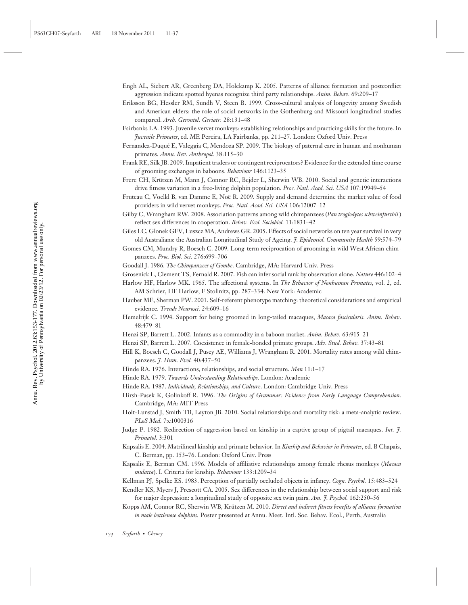- Engh AL, Siebert AR, Greenberg DA, Holekamp K. 2005. Patterns of alliance formation and postconflict aggression indicate spotted hyenas recognize third party relationships. *Anim. Behav.* 69:209–17
- Eriksson BG, Hessler RM, Sundh V, Steen B. 1999. Cross-cultural analysis of longevity among Swedish and American elders: the role of social networks in the Gothenburg and Missouri longitudinal studies compared. *Arch. Gerontol. Geriatr.* 28:131–48
- Fairbanks LA. 1993. Juvenile vervet monkeys: establishing relationships and practicing skills for the future. In *Juvenile Primates*, ed. ME Pereira, LA Fairbanks, pp. 211–27. London: Oxford Univ. Press
- Fernandez-Duque E, Valeggia C, Mendoza SP. 2009. The biology of paternal care in human and nonhuman ´ primates. *Annu. Rev. Anthropol.* 38:115–30
- Frank RE, Silk JB. 2009. Impatient traders or contingent reciprocators? Evidence for the extended time course of grooming exchanges in baboons. *Behaviour* 146:1123–35
- Frere CH, Krützen M, Mann J, Connor RC, Bejder L, Sherwin WB. 2010. Social and genetic interactions drive fitness variation in a free-living dolphin population. *Proc. Natl. Acad. Sci. USA* 107:19949–54
- Fruteau C, Voelkl B, van Damme E, Noë R. 2009. Supply and demand determine the market value of food providers in wild vervet monkeys. *Proc. Natl. Acad. Sci. USA* 106:12007–12
- Gilby C, Wrangham RW. 2008. Association patterns among wild chimpanzees (*Pan troglodytes schweinfurthii* ) reflect sex differences in cooperation. *Behav. Ecol. Sociobiol.* 11:1831–42
- Giles LC, Glonek GFV, Luszcz MA, Andrews GR. 2005. Effects of social networks on ten year survival in very old Australians: the Australian Longitudinal Study of Ageing. *J. Epidemiol. Community Health* 59:574–79
- Gomes CM, Mundry R, Boesch C. 2009. Long-term reciprocation of grooming in wild West African chimpanzees. *Proc. Biol. Sci.* 276:699–706
- Goodall J. 1986. *The Chimpanzees of Gombe*. Cambridge, MA: Harvard Univ. Press
- Grosenick L, Clement TS, Fernald R. 2007. Fish can infer social rank by observation alone. *Nature* 446:102–4
- Harlow HF, Harlow MK. 1965. The affectional systems. In *The Behavior of Nonhuman Primates*, vol. 2, ed. AM Schrier, HF Harlow, F Stollnitz, pp. 287–334. New York: Academic
- Hauber ME, Sherman PW. 2001. Self-referent phenotype matching: theoretical considerations and empirical evidence. *Trends Neurosci.* 24:609–16
- Hemelrijk C. 1994. Support for being groomed in long-tailed macaques, *Macaca fascicularis*. *Anim. Behav*. 48:479–81
- Henzi SP, Barrett L. 2002. Infants as a commodity in a baboon market. *Anim. Behav.* 63:915–21
- Henzi SP, Barrett L. 2007. Coexistence in female-bonded primate groups. *Adv. Stud. Behav.* 37:43–81
- Hill K, Boesch C, Goodall J, Pusey AE, Williams J, Wrangham R. 2001. Mortality rates among wild chimpanzees. *J. Hum. Evol.* 40:437–50
- Hinde RA. 1976. Interactions, relationships, and social structure. *Man* 11:1–17
- Hinde RA. 1979. *Towards Understanding Relationships*. London: Academic
- Hinde RA. 1987. *Individuals, Relationships, and Culture*. London: Cambridge Univ. Press
- Hirsh-Pasek K, Golinkoff R. 1996. *The Origins of Grammar: Evidence from Early Language Comprehension*. Cambridge, MA: MIT Press
- Holt-Lunstad J, Smith TB, Layton JB. 2010. Social relationships and mortality risk: a meta-analytic review. *PLoS Med.* 7:e1000316
- Judge P. 1982. Redirection of aggression based on kinship in a captive group of pigtail macaques. *Int. J. Primatol.* 3:301
- Kapsalis E. 2004. Matrilineal kinship and primate behavior. In *Kinship and Behavior in Primates*, ed. B Chapais, C. Berman, pp. 153–76. London: Oxford Univ. Press
- Kapsalis E, Berman CM. 1996. Models of affiliative relationships among female rhesus monkeys (*Macaca mulatta*). I. Criteria for kinship. *Behaviour* 133:1209–34
- Kellman PJ, Spelke ES. 1983. Perception of partially occluded objects in infancy. *Cogn. Psychol.* 15:483–524
- Kendler KS, Myers J, Prescott CA. 2005. Sex differences in the relationship between social support and risk for major depression: a longitudinal study of opposite sex twin pairs. *Am. J. Psychol.* 162:250–56
- Kopps AM, Connor RC, Sherwin WB, Krützen M. 2010. *Direct and indirect fitness benefits of alliance formation in male bottlenose dolphins.* Poster presented at Annu. Meet. Intl. Soc. Behav. Ecol., Perth, Australia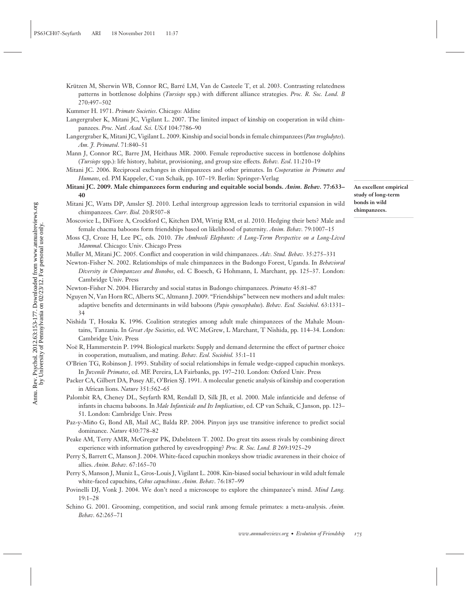Krützen M, Sherwin WB, Connor RC, Barré LM, Van de Casteele T, et al. 2003. Contrasting relatedness patterns in bottlenose dolphins (*Tursiops* spp.) with different alliance strategies. *Proc. R. Soc. Lond. B* 270:497–502

Kummer H. 1971. *Primate Societies*. Chicago: Aldine

- Langergraber K, Mitani JC, Vigilant L. 2007. The limited impact of kinship on cooperation in wild chimpanzees. *Proc. Natl. Acad. Sci. USA* 104:7786–90
- Langergraber K, Mitani JC, Vigilant L. 2009. Kinship and social bonds in female chimpanzees (*Pan troglodytes*). *Am. J. Primatol*. 71:840–51
- Mann J, Connor RC, Barre JM, Heithaus MR. 2000. Female reproductive success in bottlenose dolphins (*Tursiops* spp.): life history, habitat, provisioning, and group size effects. *Behav. Ecol*. 11:210–19
- Mitani JC. 2006. Reciprocal exchanges in chimpanzees and other primates. In *Cooperation in Primates and Humans*, ed. PM Kappeler, C van Schaik, pp. 107–19. Berlin: Springer-Verlag
- **Mitani JC. 2009. Male chimpanzees form enduring and equitable social bonds.** *Anim. Behav.* **77:633– 40**
- Mitani JC, Watts DP, Amsler SJ. 2010. Lethal intergroup aggression leads to territorial expansion in wild chimpanzees. *Curr. Biol.* 20:R507–8
- Moscovice L, DiFiore A, Crockford C, Kitchen DM, Wittig RM, et al. 2010. Hedging their bets? Male and female chacma baboons form friendships based on likelihood of paternity. *Anim. Behav.* 79:1007–15
- Moss CJ, Croze H, Lee PC, eds. 2010. *The Amboseli Elephants: A Long-Term Perspective on a Long-Lived Mammal*. Chicago: Univ. Chicago Press
- Muller M, Mitani JC. 2005. Conflict and cooperation in wild chimpanzees. *Adv. Stud. Behav.* 35:275–331
- Newton-Fisher N. 2002. Relationships of male chimpanzees in the Budongo Forest, Uganda. In *Behavioral Diversity in Chimpanzees and Bonobos*, ed. C Boesch, G Hohmann, L Marchant, pp. 125–37. London: Cambridge Univ. Press
- Newton-Fisher N. 2004. Hierarchy and social status in Budongo chimpanzees. *Primates* 45:81–87
- Nguyen N, Van Horn RC, Alberts SC, Altmann J. 2009. "Friendships" between new mothers and adult males: adaptive benefits and determinants in wild baboons (*Papio cynocephalus*). *Behav. Ecol. Sociobiol*. 63:1331– 34
- Nishida T, Hosaka K. 1996. Coalition strategies among adult male chimpanzees of the Mahale Mountains, Tanzania. In *Great Ape Societies*, ed. WC McGrew, L Marchant, T Nishida, pp. 114–34. London: Cambridge Univ. Press
- Noë R, Hammerstein P. 1994. Biological markets: Supply and demand determine the effect of partner choice in cooperation, mutualism, and mating. *Behav. Ecol. Sociobiol.* 35:1–11
- O'Brien TG, Robinson J. 1993. Stability of social relationships in female wedge-capped capuchin monkeys. In *Juvenile Primates*, ed. ME Pereira, LA Fairbanks, pp. 197–210. London: Oxford Univ. Press
- Packer CA, Gilbert DA, Pusey AE, O'Brien SJ. 1991. A molecular genetic analysis of kinship and cooperation in African lions. *Nature* 351:562–65
- Palombit RA, Cheney DL, Seyfarth RM, Rendall D, Silk JB, et al. 2000. Male infanticide and defense of infants in chacma baboons. In *Male Infanticide and Its Implications*, ed. CP van Schaik, C Janson, pp. 123– 51. London: Cambridge Univ. Press
- Paz-y-Miño G, Bond AB, Mail AC, Balda RP. 2004. Pinyon jays use transitive inference to predict social dominance. *Nature* 430:778–82
- Peake AM, Terry AMR, McGregor PK, Dabelsteen T. 2002. Do great tits assess rivals by combining direct experience with information gathered by eavesdropping? *Proc. R. Soc. Lond. B* 269:1925–29
- Perry S, Barrett C, Manson J. 2004. White-faced capuchin monkeys show triadic awareness in their choice of allies. *Anim. Behav.* 67:165–70
- Perry S, Manson J, Muniz L, Gros-Louis J, Vigilant L. 2008. Kin-biased social behaviour in wild adult female white-faced capuchins, *Cebus capuchinus*. *Anim. Behav*. 76:187–99
- Povinelli DJ, Vonk J. 2004. We don't need a microscope to explore the chimpanzee's mind. *Mind Lang.* 19:1–28
- Schino G. 2001. Grooming, competition, and social rank among female primates: a meta-analysis. *Anim. Behav.* 62:265–71

**An excellent empirical study of long-term bonds in wild chimpanzees.**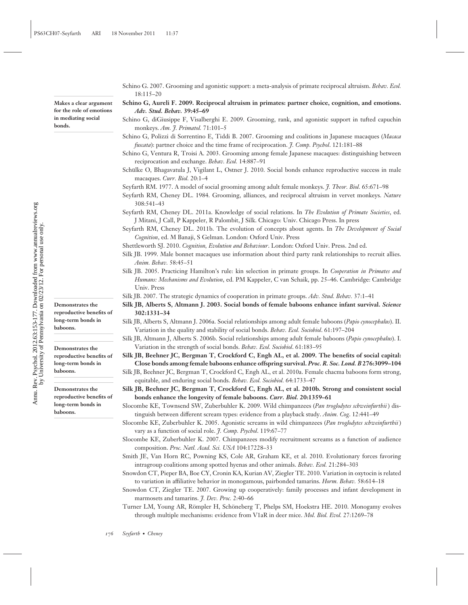**Makes a clear argument for the role of emotions in mediating social bonds.**

- Schino G. 2007. Grooming and agonistic support: a meta-analysis of primate reciprocal altruism. *Behav. Ecol.* 18:115–20
- **Schino G, Aureli F. 2009. Reciprocal altruism in primates: partner choice, cognition, and emotions.** *Adv. Stud. Behav.* **39:45–69**
- Schino G, diGiusippe F, Visalberghi E. 2009. Grooming, rank, and agonistic support in tufted capuchin monkeys. *Am. J. Primatol.* 71:101–5
- Schino G, Polizzi di Sorrentino E, Tiddi B. 2007. Grooming and coalitions in Japanese macaques (*Macaca fuscata*): partner choice and the time frame of reciprocation. *J. Comp. Psychol*. 121:181–88
- Schino G, Ventura R, Troisi A. 2003. Grooming among female Japanese macaques: distinguishing between reciprocation and exchange. *Behav. Ecol.* 14:887–91
- Schülke O, Bhagavatula J, Vigilant L, Ostner J. 2010. Social bonds enhance reproductive success in male macaques. *Curr. Biol.* 20:1–4
- Seyfarth RM. 1977. A model of social grooming among adult female monkeys. *J. Theor. Biol.* 65:671–98
- Seyfarth RM, Cheney DL. 1984. Grooming, alliances, and reciprocal altruism in vervet monkeys. *Nature* 308:541–43
- Seyfarth RM, Cheney DL. 2011a. Knowledge of social relations. In *The Evolution of Primate Societies*, ed. J Mitani, J Call, P Kappeler, R Palombit, J Silk. Chicago: Univ. Chicago Press. In press
- Seyfarth RM, Cheney DL. 2011b. The evolution of concepts about agents. In *The Development of Social Cognition*, ed. M Banaji, S Gelman. London: Oxford Univ. Press
- Shettleworth SJ. 2010. *Cognition, Evolution and Behaviour*. London: Oxford Univ. Press. 2nd ed.
- Silk JB. 1999. Male bonnet macaques use information about third party rank relationships to recruit allies. *Anim. Behav.* 58:45–51
- Silk JB. 2005. Practicing Hamilton's rule: kin selection in primate groups. In *Cooperation in Primates and Humans: Mechanisms and Evolution*, ed. PM Kappeler, C van Schaik, pp. 25–46. Cambridge: Cambridge Univ. Press
- Silk JB. 2007. The strategic dynamics of cooperation in primate groups. *Adv. Stud. Behav.* 37:1–41
- **Silk JB, Alberts S, Altmann J. 2003. Social bonds of female baboons enhance infant survival.** *Science* **302:1331–34**
- Silk JB, Alberts S, Altmann J. 2006a. Social relationships among adult female baboons (*Papio cynocephalus*). II. Variation in the quality and stability of social bonds. *Behav. Ecol. Sociobiol*. 61:197–204
- Silk JB, Altmann J, Alberts S. 2006b. Social relationships among adult female baboons (*Papio cynocephalus*). I. **Demonstrates the** Variation in the strength of social bonds. *Behav. Ecol. Sociobiol*. 61:183–95
	- **Silk JB, Beehner JC, Bergman T, Crockford C, Engh AL, et al. 2009. The benefits of social capital: Close bonds among female baboons enhance offspring survival.** *Proc. R. Soc. Lond. B* **276:3099–104**
	- Silk JB, Beehner JC, Bergman T, Crockford C, Engh AL, et al. 2010a. Female chacma baboons form strong, equitable, and enduring social bonds. *Behav. Ecol. Sociobiol.* 64:1733–47
	- **Silk JB, Beehner JC, Bergman T, Crockford C, Engh AL, et al. 2010b. Strong and consistent social bonds enhance the longevity of female baboons.** *Curr. Biol.* **20:1359–61**
	- Slocombe KE, Townsend SW, Zuberbuhler K. 2009. Wild chimpanzees (*Pan troglodytes schweinfurthii* ) distinguish between different scream types: evidence from a playback study. *Anim. Cog*. 12:441–49
	- Slocombe KE, Zuberbuhler K. 2005. Agonistic screams in wild chimpanzees (*Pan troglodytes schweinfurthii* ) vary as a function of social role. *J. Comp. Psychol*. 119:67–77
	- Slocombe KE, Zuberbuhler K. 2007. Chimpanzees modify recruitment screams as a function of audience composition. *Proc. Natl. Acad. Sci. USA* 104:17228–33
	- Smith JE, Van Horn RC, Powning KS, Cole AR, Graham KE, et al. 2010. Evolutionary forces favoring intragroup coalitions among spotted hyenas and other animals. *Behav. Ecol.* 21:284–303
	- Snowdon CT, Pieper BA, Boe CY, Cronin KA, Kurian AV, Ziegler TE. 2010. Variation in oxytocin is related to variation in affiliative behavior in monogamous, pairbonded tamarins. *Horm. Behav.* 58:614–18
	- Snowdon CT, Ziegler TE. 2007. Growing up cooperatively: family processes and infant development in marmosets and tamarins. *J. Dev. Proc.* 2:40–66
	- Turner LM, Young AR, Römpler H, Schöneberg T, Phelps SM, Hoekstra HE. 2010. Monogamy evolves through multiple mechanisms: evidence from V1aR in deer mice. *Mol. Biol. Evol.* 27:1269–78

**Demonstrates the reproductive benefits of long-term bonds in baboons.**

**reproductive benefits of long-term bonds in baboons.**

**Demonstrates the reproductive benefits of long-term bonds in baboons.**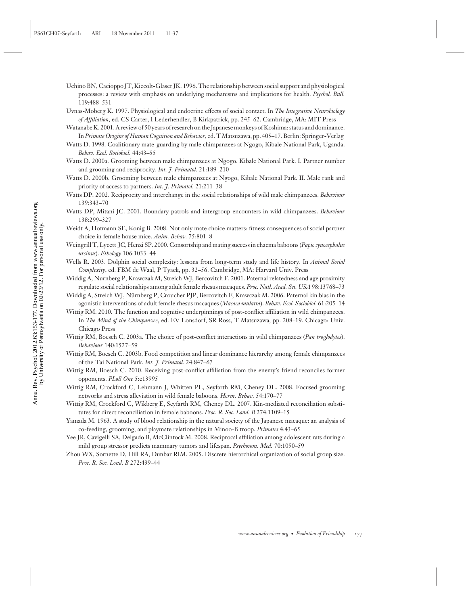- Uchino BN, Cacioppo JT, Kiecolt-Glaser JK. 1996. The relationship between social support and physiological processes: a review with emphasis on underlying mechanisms and implications for health. *Psychol. Bull.* 119:488–531
- Uvnas-Moberg K. 1997. Physiological and endocrine effects of social contact. In *The Integrative Neurobiology of Affiliation*, ed. CS Carter, I Lederhendler, B Kirkpatrick, pp. 245–62. Cambridge, MA: MIT Press
- Watanabe K. 2001. A review of 50 years of research on the Japanese monkeys of Koshima: status and dominance. In *Primate Origins of Human Cognition and Behavior*, ed. T Matsuzawa, pp. 405–17. Berlin: Springer-Verlag
- Watts D. 1998. Coalitionary mate-guarding by male chimpanzees at Ngogo, Kibale National Park, Uganda. *Behav. Ecol. Sociobiol.* 44:43–55
- Watts D. 2000a. Grooming between male chimpanzees at Ngogo, Kibale National Park. I. Partner number and grooming and reciprocity. *Int. J. Primatol.* 21:189–210
- Watts D. 2000b. Grooming between male chimpanzees at Ngogo, Kibale National Park. II. Male rank and priority of access to partners. *Int. J. Primatol.* 21:211–38
- Watts DP. 2002. Reciprocity and interchange in the social relationships of wild male chimpanzees. *Behaviour* 139:343–70
- Watts DP, Mitani JC. 2001. Boundary patrols and intergroup encounters in wild chimpanzees. *Behaviour* 138:299–327
- Weidt A, Hofmann SE, Konig B. 2008. Not only mate choice matters: fitness consequences of social partner choice in female house mice. *Anim. Behav.* 75:801–8
- Weingrill T, Lycett JC, Henzi SP. 2000. Consortship and mating success in chacma baboons (*Papio cynocephalus ursinus*). *Ethology* 106:1033–44
- Wells R. 2003. Dolphin social complexity: lessons from long-term study and life history. In *Animal Social Complexity*, ed. FBM de Waal, P Tyack, pp. 32–56. Cambridge, MA: Harvard Univ. Press
- Widdig A, Nurnberg P, Krawczak M, Streich WJ, Bercovitch F. 2001. Paternal relatedness and age proximity regulate social relationships among adult female rhesus macaques. *Proc. Natl. Acad. Sci. USA* 98:13768–73
- Widdig A, Streich WJ, Nürnberg P, Croucher PJP, Bercovitch F, Krawczak M. 2006. Paternal kin bias in the agonistic interventions of adult female rhesus macaques (*Macaca mulatta*). *Behav. Ecol. Sociobiol*. 61:205–14
- Wittig RM. 2010. The function and cognitive underpinnings of post-conflict affiliation in wild chimpanzees. In *The Mind of the Chimpanzee*, ed. EV Lonsdorf, SR Ross, T Matsuzawa, pp. 208–19. Chicago: Univ. Chicago Press
- Wittig RM, Boesch C. 2003a. The choice of post-conflict interactions in wild chimpanzees (*Pan troglodytes*). *Behaviour* 140:1527–59
- Wittig RM, Boesch C. 2003b. Food competition and linear dominance hierarchy among female chimpanzees of the Tai National Park. *Int. J. Primatol.* 24:847–67
- Wittig RM, Boesch C. 2010. Receiving post-conflict affiliation from the enemy's friend reconciles former opponents. *PLoS One* 5:e13995
- Wittig RM, Crockford C, Lehmann J, Whitten PL, Seyfarth RM, Cheney DL. 2008. Focused grooming networks and stress alleviation in wild female baboons. *Horm. Behav.* 54:170–77
- Wittig RM, Crockford C, Wikberg E, Seyfarth RM, Cheney DL. 2007. Kin-mediated reconciliation substitutes for direct reconciliation in female baboons. *Proc. R. Soc. Lond. B* 274:1109–15
- Yamada M. 1963. A study of blood relationship in the natural society of the Japanese macaque: an analysis of co-feeding, grooming, and playmate relationships in Minoo-B troop. *Primates* 4:43–65
- Yee JR, Cavigelli SA, Delgado B, McClintock M. 2008. Reciprocal affiliation among adolescent rats during a mild group stressor predicts mammary tumors and lifespan. *Psychosom. Med.* 70:1050–59
- Zhou WX, Sornette D, Hill RA, Dunbar RIM. 2005. Discrete hierarchical organization of social group size. *Proc. R. Soc. Lond. B* 272:439–44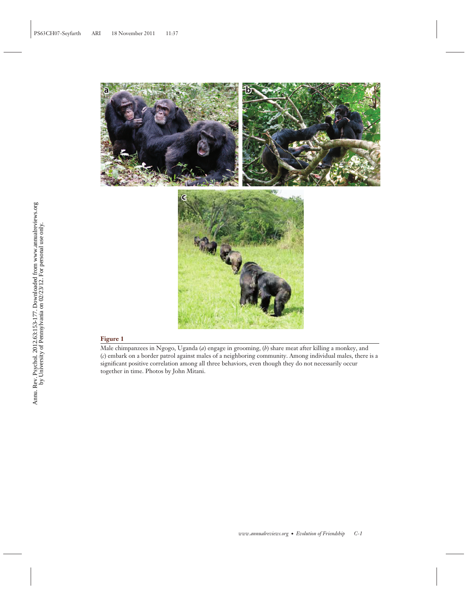

#### **Figure 1**

Male chimpanzees in Ngogo, Uganda (*a*) engage in grooming, (*b*) share meat after killing a monkey, and (*c*) embark on a border patrol against males of a neighboring community. Among individual males, there is a significant positive correlation among all three behaviors, even though they do not necessarily occur together in time. Photos by John Mitani.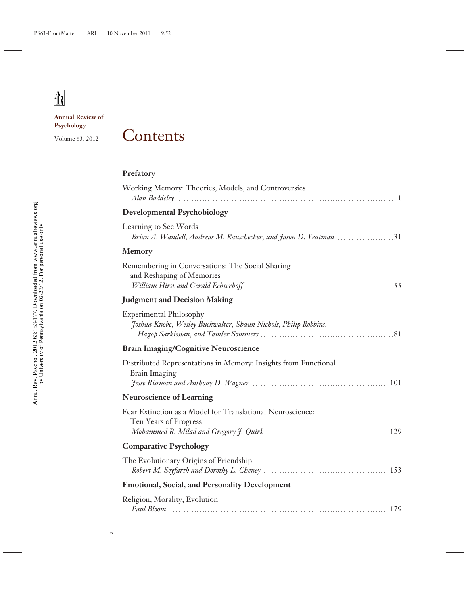### **Annual Review of Psychology**

# $V$ Olume 63, 2012 **Contents**

# **Prefatory**

| Working Memory: Theories, Models, and Controversies                                               |
|---------------------------------------------------------------------------------------------------|
| <b>Developmental Psychobiology</b>                                                                |
| Learning to See Words<br>Brian A. Wandell, Andreas M. Rauschecker, and Jason D. Yeatman 31        |
| <b>Memory</b>                                                                                     |
| Remembering in Conversations: The Social Sharing<br>and Reshaping of Memories                     |
| <b>Judgment and Decision Making</b>                                                               |
| <b>Experimental Philosophy</b><br>Joshua Knobe, Wesley Buckwalter, Shaun Nichols, Philip Robbins, |
| <b>Brain Imaging/Cognitive Neuroscience</b>                                                       |
| Distributed Representations in Memory: Insights from Functional<br><b>Brain Imaging</b>           |
| <b>Neuroscience of Learning</b>                                                                   |
| Fear Extinction as a Model for Translational Neuroscience:<br>Ten Years of Progress               |
| <b>Comparative Psychology</b>                                                                     |
| The Evolutionary Origins of Friendship                                                            |
| <b>Emotional, Social, and Personality Development</b>                                             |
| Religion, Morality, Evolution                                                                     |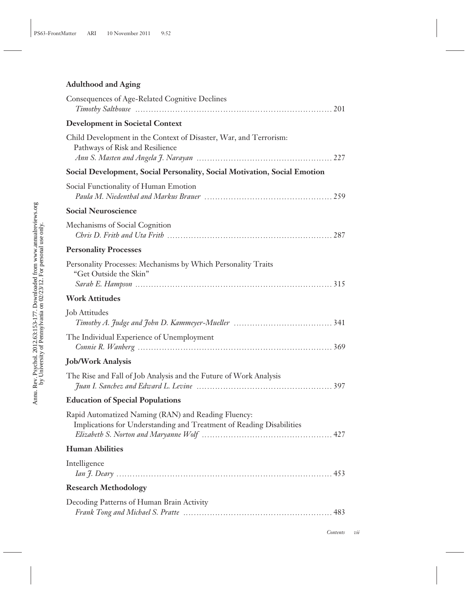# **Adulthood and Aging**